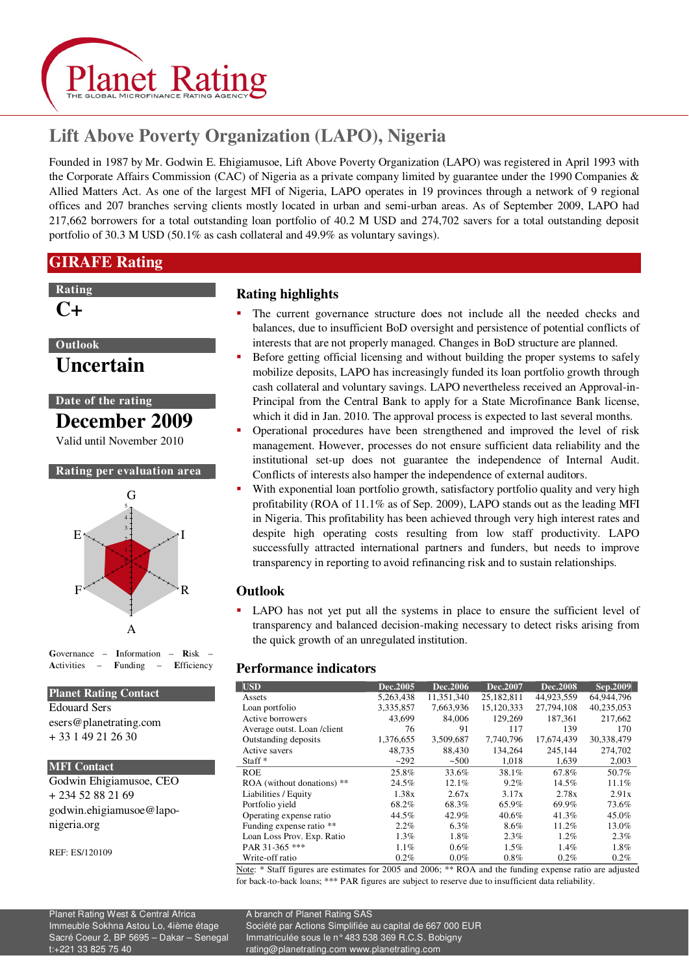

# **Lift Above Poverty Organization (LAPO), Nigeria**

Founded in 1987 by Mr. Godwin E. Ehigiamusoe, Lift Above Poverty Organization (LAPO) was registered in April 1993 with the Corporate Affairs Commission (CAC) of Nigeria as a private company limited by guarantee under the 1990 Companies & Allied Matters Act. As one of the largest MFI of Nigeria, LAPO operates in 19 provinces through a network of 9 regional offices and 207 branches serving clients mostly located in urban and semi-urban areas. As of September 2009, LAPO had 217,662 borrowers for a total outstanding loan portfolio of 40.2 M USD and 274,702 savers for a total outstanding deposit portfolio of 30.3 M USD (50.1% as cash collateral and 49.9% as voluntary savings).

## **GIRAFE Rating**

### **Rating**

## **C+**

## **Outlook**

**Uncertain** 

## **Date of the rating**

**December 2009** 

Valid until November 2010

#### **Rating per evaluation area**



**G**overnance – **I**nformation – **R**isk – **A**ctivities – **F**unding – **E**fficiency

#### **Planet Rating Contact**

Edouard Sers esers@planetrating.com + 33 1 49 21 26 30

#### **MFI Contact**

Godwin Ehigiamusoe, CEO + 234 52 88 21 69 godwin.ehigiamusoe@laponigeria.org

REF: ES/120109

## **Rating highlights**

- The current governance structure does not include all the needed checks and balances, due to insufficient BoD oversight and persistence of potential conflicts of interests that are not properly managed. Changes in BoD structure are planned.
- Before getting official licensing and without building the proper systems to safely mobilize deposits, LAPO has increasingly funded its loan portfolio growth through cash collateral and voluntary savings. LAPO nevertheless received an Approval-in-Principal from the Central Bank to apply for a State Microfinance Bank license, which it did in Jan. 2010. The approval process is expected to last several months.
- Operational procedures have been strengthened and improved the level of risk management. However, processes do not ensure sufficient data reliability and the institutional set-up does not guarantee the independence of Internal Audit. Conflicts of interests also hamper the independence of external auditors.
- With exponential loan portfolio growth, satisfactory portfolio quality and very high profitability (ROA of 11.1% as of Sep. 2009), LAPO stands out as the leading MFI in Nigeria. This profitability has been achieved through very high interest rates and despite high operating costs resulting from low staff productivity. LAPO successfully attracted international partners and funders, but needs to improve transparency in reporting to avoid refinancing risk and to sustain relationships.

## **Outlook**

 LAPO has not yet put all the systems in place to ensure the sufficient level of transparency and balanced decision-making necessary to detect risks arising from the quick growth of an unregulated institution.

## **Performance indicators**

| <b>USD</b>                   | Dec.2005  | Dec.2006   | Dec.2007   | <b>Dec.2008</b> | Sep.2009   |
|------------------------------|-----------|------------|------------|-----------------|------------|
| Assets                       | 5,263,438 | 11,351,340 | 25,182,811 | 44,923,559      | 64,944,796 |
| Loan portfolio               | 3,335,857 | 7.663.936  | 15.120.333 | 27,794,108      | 40.235.053 |
| Active borrowers             | 43.699    | 84,006     | 129,269    | 187.361         | 217,662    |
| Average outst. Loan / client | 76        | 91         | 117        | 139             | 170        |
| Outstanding deposits         | 1,376,655 | 3,509,687  | 7,740,796  | 17,674,439      | 30,338,479 |
| Active savers                | 48,735    | 88,430     | 134,264    | 245,144         | 274,702    |
| Staff $*$                    | ~292      | ~500       | 1,018      | 1,639           | 2,003      |
| <b>ROE</b>                   | 25.8%     | 33.6%      | 38.1%      | 67.8%           | 50.7%      |
| ROA (without donations) **   | 24.5%     | 12.1%      | $9.2\%$    | 14.5%           | 11.1%      |
| Liabilities / Equity         | 1.38x     | 2.67x      | 3.17x      | 2.78x           | 2.91x      |
| Portfolio yield              | 68.2%     | 68.3%      | 65.9%      | 69.9%           | 73.6%      |
| Operating expense ratio      | 44.5%     | 42.9%      | 40.6%      | 41.3%           | 45.0%      |
| Funding expense ratio **     | $2.2\%$   | 6.3%       | 8.6%       | 11.2%           | 13.0%      |
| Loan Loss Prov. Exp. Ratio   | 1.3%      | 1.8%       | 2.3%       | $1.2\%$         | 2.3%       |
| PAR 31-365 ***               | 1.1%      | $0.6\%$    | $1.5\%$    | 1.4%            | 1.8%       |
| Write-off ratio              | $0.2\%$   | $0.0\%$    | $0.8\%$    | $0.2\%$         | $0.2\%$    |

\* Staff figures are estimates for 2005 and 2006; \*\* ROA and the funding expense ratio are adjusted for back-to-back loans; \*\*\* PAR figures are subject to reserve due to insufficient data reliability.

 Immeuble Sokhna Astou Lo, 4ième étage Société par Actions Simplifiée au capital de 667 000 EUR Sacré Coeur 2, BP 5695 – Dakar – Senegal Immatriculée sous le n° 483 538 369 R.C.S. Bobigny<br>t:+221 33 825 75 40 rating@planetrating.com www.planetrating.com rating@planetrating.com www.planetrating.com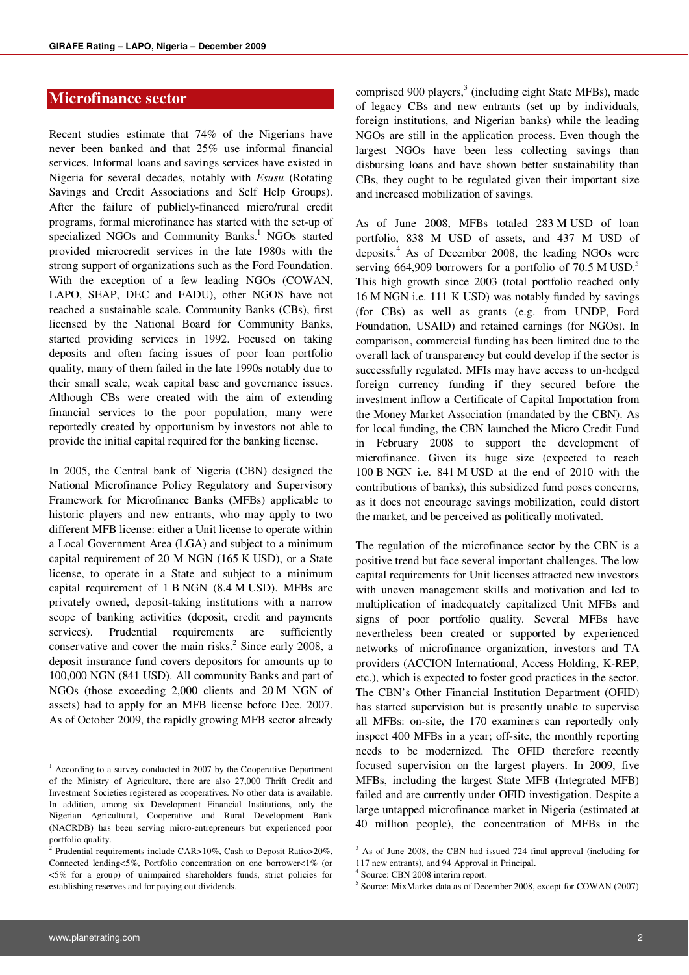## **Microfinance sector**

Recent studies estimate that 74% of the Nigerians have never been banked and that 25% use informal financial services. Informal loans and savings services have existed in Nigeria for several decades, notably with *Esusu* (Rotating Savings and Credit Associations and Self Help Groups). After the failure of publicly-financed micro/rural credit programs, formal microfinance has started with the set-up of specialized NGOs and Community Banks.<sup>1</sup> NGOs started provided microcredit services in the late 1980s with the strong support of organizations such as the Ford Foundation. With the exception of a few leading NGOs (COWAN, LAPO, SEAP, DEC and FADU), other NGOS have not reached a sustainable scale. Community Banks (CBs), first licensed by the National Board for Community Banks, started providing services in 1992. Focused on taking deposits and often facing issues of poor loan portfolio quality, many of them failed in the late 1990s notably due to their small scale, weak capital base and governance issues. Although CBs were created with the aim of extending financial services to the poor population, many were reportedly created by opportunism by investors not able to provide the initial capital required for the banking license.

In 2005, the Central bank of Nigeria (CBN) designed the National Microfinance Policy Regulatory and Supervisory Framework for Microfinance Banks (MFBs) applicable to historic players and new entrants, who may apply to two different MFB license: either a Unit license to operate within a Local Government Area (LGA) and subject to a minimum capital requirement of 20 M NGN (165 K USD), or a State license, to operate in a State and subject to a minimum capital requirement of 1 B NGN (8.4 M USD). MFBs are privately owned, deposit-taking institutions with a narrow scope of banking activities (deposit, credit and payments services). Prudential requirements are sufficiently conservative and cover the main risks. $2$  Since early 2008, a deposit insurance fund covers depositors for amounts up to 100,000 NGN (841 USD). All community Banks and part of NGOs (those exceeding 2,000 clients and 20 M NGN of assets) had to apply for an MFB license before Dec. 2007. As of October 2009, the rapidly growing MFB sector already

comprised 900 players,<sup>3</sup> (including eight State MFBs), made of legacy CBs and new entrants (set up by individuals, foreign institutions, and Nigerian banks) while the leading NGOs are still in the application process. Even though the largest NGOs have been less collecting savings than disbursing loans and have shown better sustainability than CBs, they ought to be regulated given their important size and increased mobilization of savings.

As of June 2008, MFBs totaled 283 M USD of loan portfolio, 838 M USD of assets, and 437 M USD of deposits.<sup>4</sup> As of December 2008, the leading NGOs were serving 664,909 borrowers for a portfolio of 70.5 M USD.<sup>5</sup> This high growth since 2003 (total portfolio reached only 16 M NGN i.e. 111 K USD) was notably funded by savings (for CBs) as well as grants (e.g. from UNDP, Ford Foundation, USAID) and retained earnings (for NGOs). In comparison, commercial funding has been limited due to the overall lack of transparency but could develop if the sector is successfully regulated. MFIs may have access to un-hedged foreign currency funding if they secured before the investment inflow a Certificate of Capital Importation from the Money Market Association (mandated by the CBN). As for local funding, the CBN launched the Micro Credit Fund in February 2008 to support the development of microfinance. Given its huge size (expected to reach 100 B NGN i.e. 841 M USD at the end of 2010 with the contributions of banks), this subsidized fund poses concerns, as it does not encourage savings mobilization, could distort the market, and be perceived as politically motivated.

The regulation of the microfinance sector by the CBN is a positive trend but face several important challenges. The low capital requirements for Unit licenses attracted new investors with uneven management skills and motivation and led to multiplication of inadequately capitalized Unit MFBs and signs of poor portfolio quality. Several MFBs have nevertheless been created or supported by experienced networks of microfinance organization, investors and TA providers (ACCION International, Access Holding, K-REP, etc.), which is expected to foster good practices in the sector. The CBN's Other Financial Institution Department (OFID) has started supervision but is presently unable to supervise all MFBs: on-site, the 170 examiners can reportedly only inspect 400 MFBs in a year; off-site, the monthly reporting needs to be modernized. The OFID therefore recently focused supervision on the largest players. In 2009, five MFBs, including the largest State MFB (Integrated MFB) failed and are currently under OFID investigation. Despite a large untapped microfinance market in Nigeria (estimated at 40 million people), the concentration of MFBs in the

**.** 

<sup>&</sup>lt;sup>1</sup> According to a survey conducted in 2007 by the Cooperative Department of the Ministry of Agriculture, there are also 27,000 Thrift Credit and Investment Societies registered as cooperatives. No other data is available. In addition, among six Development Financial Institutions, only the Nigerian Agricultural, Cooperative and Rural Development Bank (NACRDB) has been serving micro-entrepreneurs but experienced poor portfolio quality.<br><sup>2</sup> Prudential requi

Prudential requirements include CAR>10%, Cash to Deposit Ratio>20%, Connected lending<5%, Portfolio concentration on one borrower<1% (or <5% for a group) of unimpaired shareholders funds, strict policies for establishing reserves and for paying out dividends.

<sup>&</sup>lt;sup>3</sup> As of June 2008, the CBN had issued 724 final approval (including for 117 new entrants), and 94 Approval in Principal.

<sup>4</sup> Source: CBN 2008 interim report.

<sup>5</sup> Source: MixMarket data as of December 2008, except for COWAN (2007)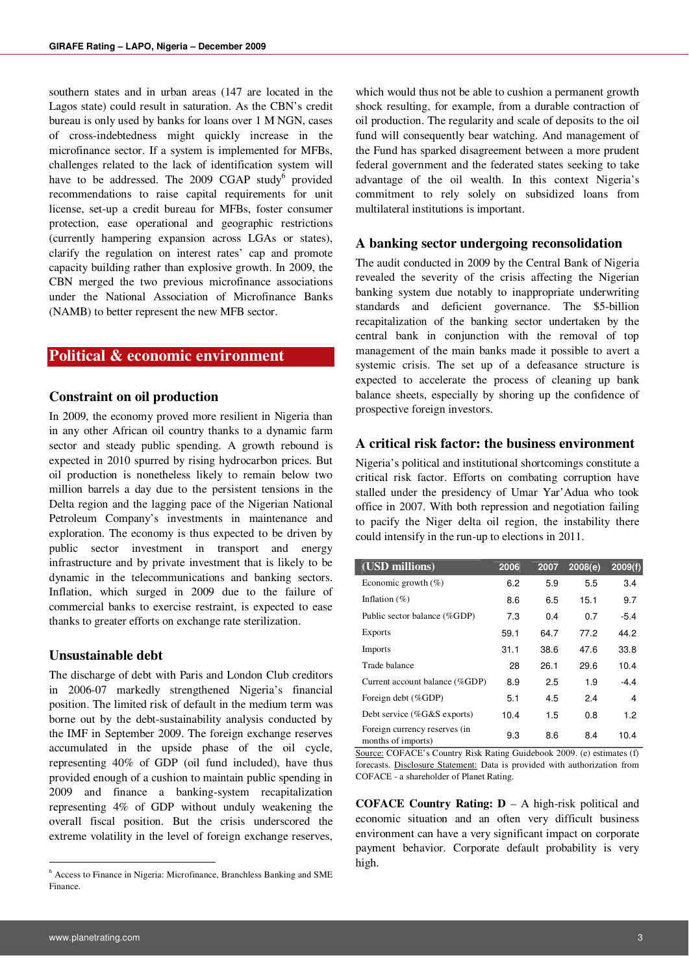southern states and in urban areas (147 are located in the Lagos state) could result in saturation. As the CBN's credit bureau is only used by banks for loans over 1 M NGN, cases of cross-indebtedness might quickly increase in the microfinance sector. If a system is implemented for MFBs, challenges related to the lack of identification system will have to be addressed. The 2009 CGAP study<sup>6</sup> provided recommendations to raise capital requirements for unit license, set-up a credit bureau for MFBs, foster consumer protection, ease operational and geographic restrictions (currently hampering expansion across LGAs or states), clarify the regulation on interest rates' cap and promote capacity building rather than explosive growth. In 2009, the CBN merged the two previous microfinance associations under the National Association of Microfinance Banks (NAMB) to better represent the new MFB sector.

### **Political & economic environment**

#### **Constraint on oil production**

In 2009, the economy proved more resilient in Nigeria than in any other African oil country thanks to a dynamic farm sector and steady public spending. A growth rebound is expected in 2010 spurred by rising hydrocarbon prices. But oil production is nonetheless likely to remain below two million barrels a day due to the persistent tensions in the Delta region and the lagging pace of the Nigerian National Petroleum Company's investments in maintenance and exploration. The economy is thus expected to be driven by public sector investment in transport and energy infrastructure and by private investment that is likely to be dynamic in the telecommunications and banking sectors. Inflation, which surged in 2009 due to the failure of commercial banks to exercise restraint, is expected to ease thanks to greater efforts on exchange rate sterilization.

#### **Unsustainable debt**

The discharge of debt with Paris and London Club creditors in 2006-07 markedly strengthened Nigeria's financial position. The limited risk of default in the medium term was borne out by the debt-sustainability analysis conducted by the IMF in September 2009. The foreign exchange reserves accumulated in the upside phase of the oil cycle, representing 40% of GDP (oil fund included), have thus provided enough of a cushion to maintain public spending in 2009 and finance a banking-system recapitalization representing 4% of GDP without unduly weakening the overall fiscal position. But the crisis underscored the extreme volatility in the level of foreign exchange reserves,

which would thus not be able to cushion a permanent growth shock resulting, for example, from a durable contraction of oil production. The regularity and scale of deposits to the oil fund will consequently bear watching. And management of the Fund has sparked disagreement between a more prudent federal government and the federated states seeking to take advantage of the oil wealth. In this context Nigeria's commitment to rely solely on subsidized loans from multilateral institutions is important.

#### **A banking sector undergoing reconsolidation**

The audit conducted in 2009 by the Central Bank of Nigeria revealed the severity of the crisis affecting the Nigerian banking system due notably to inappropriate underwriting standards and deficient governance. The \$5-billion recapitalization of the banking sector undertaken by the central bank in conjunction with the removal of top management of the main banks made it possible to avert a systemic crisis. The set up of a defeasance structure is expected to accelerate the process of cleaning up bank balance sheets, especially by shoring up the confidence of prospective foreign investors.

#### **A critical risk factor: the business environment**

Nigeria's political and institutional shortcomings constitute a critical risk factor. Efforts on combating corruption have stalled under the presidency of Umar Yar'Adua who took office in 2007. With both repression and negotiation failing to pacify the Niger delta oil region, the instability there could intensify in the run-up to elections in 2011.

| (USD millions)                                      | 2006 | 2007 | 2008(e) | 2009(f) |
|-----------------------------------------------------|------|------|---------|---------|
| Economic growth $(\% )$                             | 6.2  | 5.9  | 5.5     | 3.4     |
| Inflation $(\% )$                                   | 8.6  | 6.5  | 15.1    | 9.7     |
| Public sector balance (%GDP)                        | 7.3  | 0.4  | 0.7     | $-5.4$  |
| Exports                                             | 59.1 | 64.7 | 77.2    | 44.2    |
| <b>Imports</b>                                      | 31.1 | 38.6 | 47.6    | 33.8    |
| Trade balance                                       | 28   | 26.1 | 29.6    | 10.4    |
| Current account balance (%GDP)                      | 8.9  | 2.5  | 1.9     | $-4.4$  |
| Foreign debt (%GDP)                                 | 5.1  | 4.5  | 2.4     | 4       |
| Debt service $(\%G\&S$ exports)                     | 10.4 | 1.5  | 0.8     | 1.2     |
| Foreign currency reserves (in<br>months of imports) | 9.3  | 8.6  | 8.4     | 10.4    |

Source: COFACE's Country Risk Rating Guidebook 2009. (e) estimates (f) forecasts. Disclosure Statement: Data is provided with authorization from COFACE - a shareholder of Planet Rating.

**COFACE Country Rating: D** – A high-risk political and economic situation and an often very difficult business environment can have a very significant impact on corporate payment behavior. Corporate default probability is very high.

<sup>6</sup> Access to Finance in Nigeria: Microfinance, Branchless Banking and SME Finance.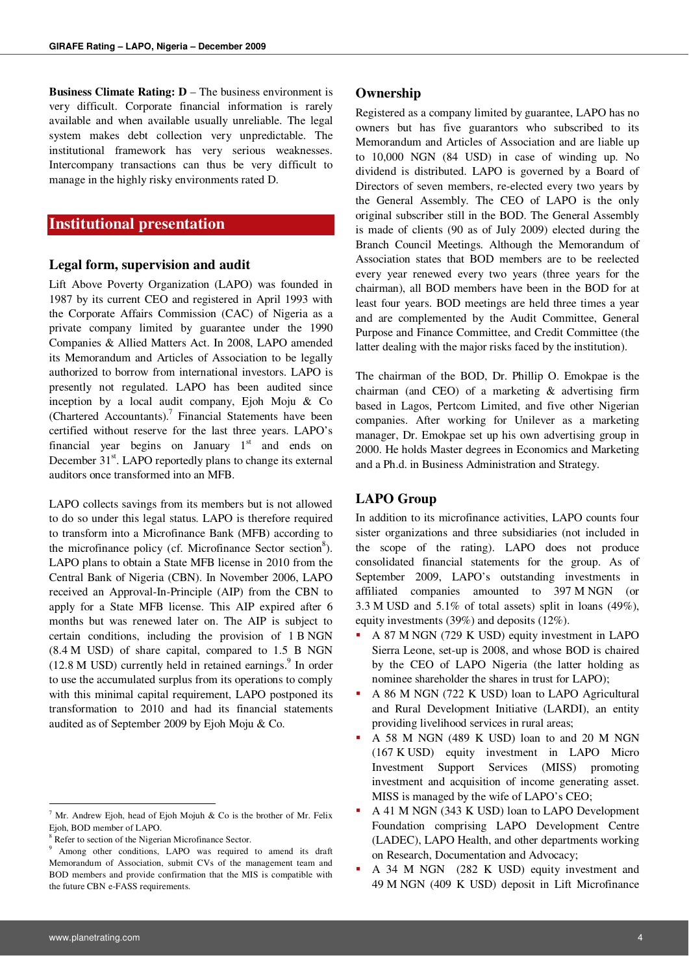**Business Climate Rating: D** – The business environment is very difficult. Corporate financial information is rarely available and when available usually unreliable. The legal system makes debt collection very unpredictable. The institutional framework has very serious weaknesses. Intercompany transactions can thus be very difficult to manage in the highly risky environments rated D.

## **Institutional presentation**

#### **Legal form, supervision and audit**

Lift Above Poverty Organization (LAPO) was founded in 1987 by its current CEO and registered in April 1993 with the Corporate Affairs Commission (CAC) of Nigeria as a private company limited by guarantee under the 1990 Companies & Allied Matters Act. In 2008, LAPO amended its Memorandum and Articles of Association to be legally authorized to borrow from international investors. LAPO is presently not regulated. LAPO has been audited since inception by a local audit company, Ejoh Moju & Co  $(Chartered$  Accountants).<sup>7</sup> Financial Statements have been certified without reserve for the last three years. LAPO's financial year begins on January  $1<sup>st</sup>$  and ends on December 31<sup>st</sup>. LAPO reportedly plans to change its external auditors once transformed into an MFB.

LAPO collects savings from its members but is not allowed to do so under this legal status. LAPO is therefore required to transform into a Microfinance Bank (MFB) according to the microfinance policy (cf. Microfinance Sector section<sup>8</sup>). LAPO plans to obtain a State MFB license in 2010 from the Central Bank of Nigeria (CBN). In November 2006, LAPO received an Approval-In-Principle (AIP) from the CBN to apply for a State MFB license. This AIP expired after 6 months but was renewed later on. The AIP is subject to certain conditions, including the provision of 1 B NGN (8.4 M USD) of share capital, compared to 1.5 B NGN  $(12.8 \text{ M} \text{ USD})$  currently held in retained earnings.<sup>9</sup> In order to use the accumulated surplus from its operations to comply with this minimal capital requirement, LAPO postponed its transformation to 2010 and had its financial statements audited as of September 2009 by Ejoh Moju & Co.

#### **Ownership**

Registered as a company limited by guarantee, LAPO has no owners but has five guarantors who subscribed to its Memorandum and Articles of Association and are liable up to 10,000 NGN (84 USD) in case of winding up. No dividend is distributed. LAPO is governed by a Board of Directors of seven members, re-elected every two years by the General Assembly. The CEO of LAPO is the only original subscriber still in the BOD. The General Assembly is made of clients (90 as of July 2009) elected during the Branch Council Meetings. Although the Memorandum of Association states that BOD members are to be reelected every year renewed every two years (three years for the chairman), all BOD members have been in the BOD for at least four years. BOD meetings are held three times a year and are complemented by the Audit Committee, General Purpose and Finance Committee, and Credit Committee (the latter dealing with the major risks faced by the institution).

The chairman of the BOD, Dr. Phillip O. Emokpae is the chairman (and CEO) of a marketing & advertising firm based in Lagos, Pertcom Limited, and five other Nigerian companies. After working for Unilever as a marketing manager, Dr. Emokpae set up his own advertising group in 2000. He holds Master degrees in Economics and Marketing and a Ph.d. in Business Administration and Strategy.

#### **LAPO Group**

In addition to its microfinance activities, LAPO counts four sister organizations and three subsidiaries (not included in the scope of the rating). LAPO does not produce consolidated financial statements for the group. As of September 2009, LAPO's outstanding investments in affiliated companies amounted to 397 M NGN (or 3.3 M USD and 5.1% of total assets) split in loans (49%), equity investments (39%) and deposits (12%).

- A 87 M NGN (729 K USD) equity investment in LAPO Sierra Leone, set-up is 2008, and whose BOD is chaired by the CEO of LAPO Nigeria (the latter holding as nominee shareholder the shares in trust for LAPO);
- A 86 M NGN (722 K USD) loan to LAPO Agricultural and Rural Development Initiative (LARDI), an entity providing livelihood services in rural areas;
- A 58 M NGN (489 K USD) loan to and 20 M NGN (167 K USD) equity investment in LAPO Micro Investment Support Services (MISS) promoting investment and acquisition of income generating asset. MISS is managed by the wife of LAPO's CEO;
- A 41 M NGN (343 K USD) loan to LAPO Development Foundation comprising LAPO Development Centre (LADEC), LAPO Health, and other departments working on Research, Documentation and Advocacy;
- A 34 M NGN (282 K USD) equity investment and 49 M NGN (409 K USD) deposit in Lift Microfinance

<sup>&</sup>lt;sup>7</sup> Mr. Andrew Ejoh, head of Ejoh Mojuh & Co is the brother of Mr. Felix Ejoh, BOD member of LAPO.

<sup>&</sup>lt;sup>8</sup> Refer to section of the Nigerian Microfinance Sector.

<sup>9</sup> Among other conditions, LAPO was required to amend its draft Memorandum of Association, submit CVs of the management team and BOD members and provide confirmation that the MIS is compatible with the future CBN e-FASS requirements.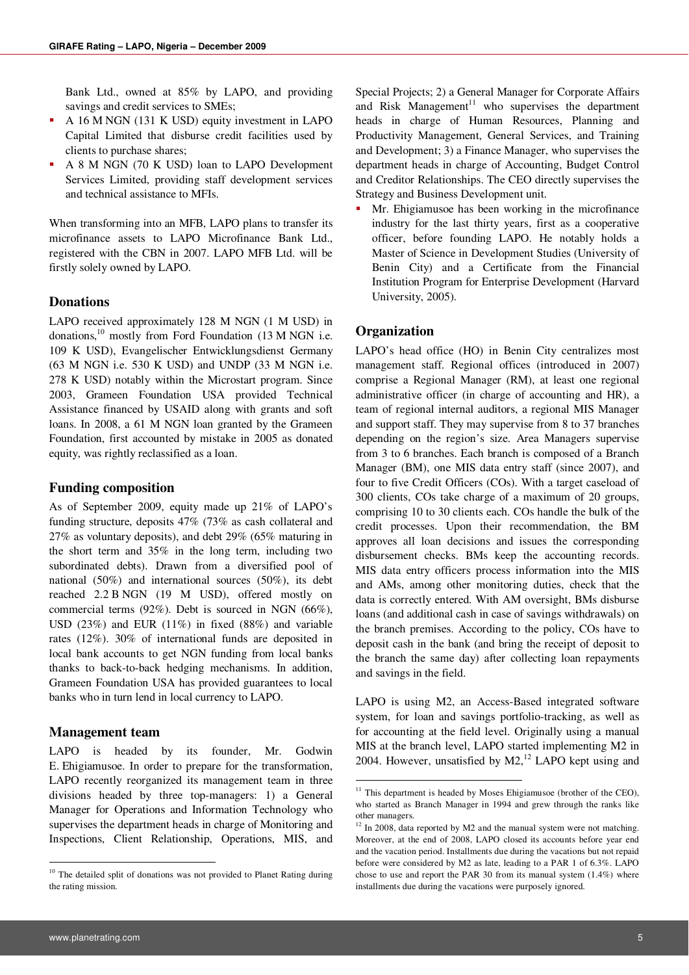Bank Ltd., owned at 85% by LAPO, and providing savings and credit services to SMEs;

- A 16 M NGN (131 K USD) equity investment in LAPO Capital Limited that disburse credit facilities used by clients to purchase shares;
- A 8 M NGN (70 K USD) loan to LAPO Development Services Limited, providing staff development services and technical assistance to MFIs.

When transforming into an MFB, LAPO plans to transfer its microfinance assets to LAPO Microfinance Bank Ltd., registered with the CBN in 2007. LAPO MFB Ltd. will be firstly solely owned by LAPO.

#### **Donations**

LAPO received approximately 128 M NGN (1 M USD) in donations,<sup>10</sup> mostly from Ford Foundation (13 M NGN i.e. 109 K USD), Evangelischer Entwicklungsdienst Germany (63 M NGN i.e. 530 K USD) and UNDP (33 M NGN i.e. 278 K USD) notably within the Microstart program. Since 2003, Grameen Foundation USA provided Technical Assistance financed by USAID along with grants and soft loans. In 2008, a 61 M NGN loan granted by the Grameen Foundation, first accounted by mistake in 2005 as donated equity, was rightly reclassified as a loan.

#### **Funding composition**

As of September 2009, equity made up 21% of LAPO's funding structure, deposits 47% (73% as cash collateral and 27% as voluntary deposits), and debt 29% (65% maturing in the short term and 35% in the long term, including two subordinated debts). Drawn from a diversified pool of national (50%) and international sources (50%), its debt reached 2.2 B NGN (19 M USD), offered mostly on commercial terms (92%). Debt is sourced in NGN (66%), USD (23%) and EUR (11%) in fixed (88%) and variable rates (12%). 30% of international funds are deposited in local bank accounts to get NGN funding from local banks thanks to back-to-back hedging mechanisms. In addition, Grameen Foundation USA has provided guarantees to local banks who in turn lend in local currency to LAPO.

#### **Management team**

LAPO is headed by its founder, Mr. Godwin E. Ehigiamusoe. In order to prepare for the transformation, LAPO recently reorganized its management team in three divisions headed by three top-managers: 1) a General Manager for Operations and Information Technology who supervises the department heads in charge of Monitoring and Inspections, Client Relationship, Operations, MIS, and

Special Projects; 2) a General Manager for Corporate Affairs and Risk Management $11$  who supervises the department heads in charge of Human Resources, Planning and Productivity Management, General Services, and Training and Development; 3) a Finance Manager, who supervises the department heads in charge of Accounting, Budget Control and Creditor Relationships. The CEO directly supervises the Strategy and Business Development unit.

 Mr. Ehigiamusoe has been working in the microfinance industry for the last thirty years, first as a cooperative officer, before founding LAPO. He notably holds a Master of Science in Development Studies (University of Benin City) and a Certificate from the Financial Institution Program for Enterprise Development (Harvard University, 2005).

#### **Organization**

**.** 

LAPO's head office (HO) in Benin City centralizes most management staff. Regional offices (introduced in 2007) comprise a Regional Manager (RM), at least one regional administrative officer (in charge of accounting and HR), a team of regional internal auditors, a regional MIS Manager and support staff. They may supervise from 8 to 37 branches depending on the region's size. Area Managers supervise from 3 to 6 branches. Each branch is composed of a Branch Manager (BM), one MIS data entry staff (since 2007), and four to five Credit Officers (COs). With a target caseload of 300 clients, COs take charge of a maximum of 20 groups, comprising 10 to 30 clients each. COs handle the bulk of the credit processes. Upon their recommendation, the BM approves all loan decisions and issues the corresponding disbursement checks. BMs keep the accounting records. MIS data entry officers process information into the MIS and AMs, among other monitoring duties, check that the data is correctly entered. With AM oversight, BMs disburse loans (and additional cash in case of savings withdrawals) on the branch premises. According to the policy, COs have to deposit cash in the bank (and bring the receipt of deposit to the branch the same day) after collecting loan repayments and savings in the field.

LAPO is using M2, an Access-Based integrated software system, for loan and savings portfolio-tracking, as well as for accounting at the field level. Originally using a manual MIS at the branch level, LAPO started implementing M2 in 2004. However, unsatisfied by  $M2$ ,<sup>12</sup> LAPO kept using and

<sup>&</sup>lt;sup>10</sup> The detailed split of donations was not provided to Planet Rating during the rating mission.

 $11$  This department is headed by Moses Ehigiamusoe (brother of the CEO), who started as Branch Manager in 1994 and grew through the ranks like other managers.

 $12$  In 2008, data reported by M2 and the manual system were not matching. Moreover, at the end of 2008, LAPO closed its accounts before year end and the vacation period. Installments due during the vacations but not repaid before were considered by M2 as late, leading to a PAR 1 of 6.3%. LAPO chose to use and report the PAR 30 from its manual system (1.4%) where installments due during the vacations were purposely ignored.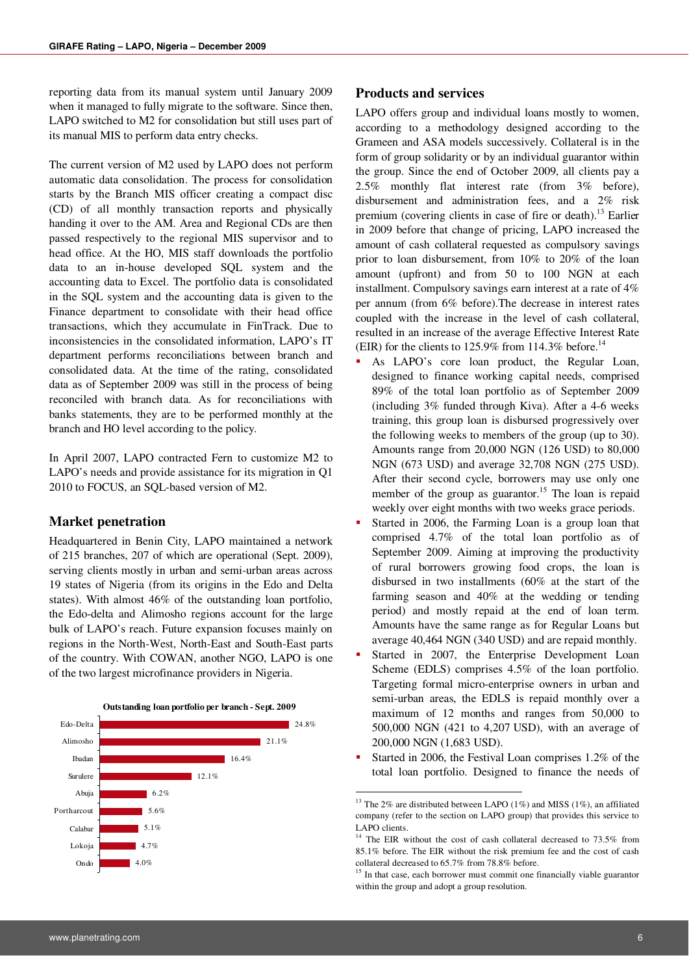reporting data from its manual system until January 2009 when it managed to fully migrate to the software. Since then, LAPO switched to M2 for consolidation but still uses part of its manual MIS to perform data entry checks.

The current version of M2 used by LAPO does not perform automatic data consolidation. The process for consolidation starts by the Branch MIS officer creating a compact disc (CD) of all monthly transaction reports and physically handing it over to the AM. Area and Regional CDs are then passed respectively to the regional MIS supervisor and to head office. At the HO, MIS staff downloads the portfolio data to an in-house developed SQL system and the accounting data to Excel. The portfolio data is consolidated in the SQL system and the accounting data is given to the Finance department to consolidate with their head office transactions, which they accumulate in FinTrack. Due to inconsistencies in the consolidated information, LAPO's IT department performs reconciliations between branch and consolidated data. At the time of the rating, consolidated data as of September 2009 was still in the process of being reconciled with branch data. As for reconciliations with banks statements, they are to be performed monthly at the branch and HO level according to the policy.

In April 2007, LAPO contracted Fern to customize M2 to LAPO's needs and provide assistance for its migration in Q1 2010 to FOCUS, an SQL-based version of M2.

#### **Market penetration**

Headquartered in Benin City, LAPO maintained a network of 215 branches, 207 of which are operational (Sept. 2009), serving clients mostly in urban and semi-urban areas across 19 states of Nigeria (from its origins in the Edo and Delta states). With almost 46% of the outstanding loan portfolio, the Edo-delta and Alimosho regions account for the large bulk of LAPO's reach. Future expansion focuses mainly on regions in the North-West, North-East and South-East parts of the country. With COWAN, another NGO, LAPO is one of the two largest microfinance providers in Nigeria.



#### **Products and services**

LAPO offers group and individual loans mostly to women, according to a methodology designed according to the Grameen and ASA models successively. Collateral is in the form of group solidarity or by an individual guarantor within the group. Since the end of October 2009, all clients pay a 2.5% monthly flat interest rate (from 3% before), disbursement and administration fees, and a 2% risk premium (covering clients in case of fire or death).<sup>13</sup> Earlier in 2009 before that change of pricing, LAPO increased the amount of cash collateral requested as compulsory savings prior to loan disbursement, from 10% to 20% of the loan amount (upfront) and from 50 to 100 NGN at each installment. Compulsory savings earn interest at a rate of 4% per annum (from 6% before).The decrease in interest rates coupled with the increase in the level of cash collateral, resulted in an increase of the average Effective Interest Rate (EIR) for the clients to 125.9% from 114.3% before.<sup>14</sup>

- As LAPO's core loan product, the Regular Loan, designed to finance working capital needs, comprised 89% of the total loan portfolio as of September 2009 (including 3% funded through Kiva). After a 4-6 weeks training, this group loan is disbursed progressively over the following weeks to members of the group (up to 30). Amounts range from 20,000 NGN (126 USD) to 80,000 NGN (673 USD) and average 32,708 NGN (275 USD). After their second cycle, borrowers may use only one member of the group as guarantor.<sup>15</sup> The loan is repaid weekly over eight months with two weeks grace periods.
- Started in 2006, the Farming Loan is a group loan that comprised 4.7% of the total loan portfolio as of September 2009. Aiming at improving the productivity of rural borrowers growing food crops, the loan is disbursed in two installments (60% at the start of the farming season and 40% at the wedding or tending period) and mostly repaid at the end of loan term. Amounts have the same range as for Regular Loans but average 40,464 NGN (340 USD) and are repaid monthly.
- Started in 2007, the Enterprise Development Loan Scheme (EDLS) comprises 4.5% of the loan portfolio. Targeting formal micro-enterprise owners in urban and semi-urban areas, the EDLS is repaid monthly over a maximum of 12 months and ranges from 50,000 to 500,000 NGN (421 to 4,207 USD), with an average of 200,000 NGN (1,683 USD).
- Started in 2006, the Festival Loan comprises 1.2% of the total loan portfolio. Designed to finance the needs of

**.** 

 $^{13}$  The 2% are distributed between LAPO (1%) and MISS (1%), an affiliated company (refer to the section on LAPO group) that provides this service to LAPO clients.

<sup>&</sup>lt;sup>14</sup> The EIR without the cost of cash collateral decreased to 73.5% from 85.1% before. The EIR without the risk premium fee and the cost of cash collateral decreased to 65.7% from 78.8% before.

<sup>&</sup>lt;sup>15</sup> In that case, each borrower must commit one financially viable guarantor within the group and adopt a group resolution.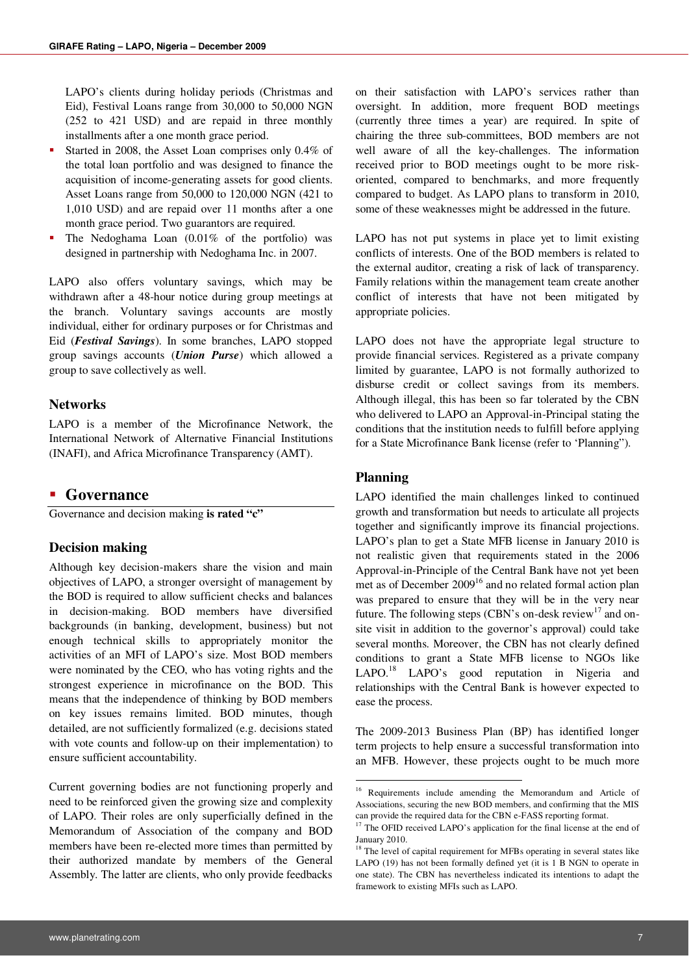LAPO's clients during holiday periods (Christmas and Eid), Festival Loans range from 30,000 to 50,000 NGN (252 to 421 USD) and are repaid in three monthly installments after a one month grace period.

- Started in 2008, the Asset Loan comprises only 0.4% of the total loan portfolio and was designed to finance the acquisition of income-generating assets for good clients. Asset Loans range from 50,000 to 120,000 NGN (421 to 1,010 USD) and are repaid over 11 months after a one month grace period. Two guarantors are required.
- The Nedoghama Loan (0.01% of the portfolio) was designed in partnership with Nedoghama Inc. in 2007.

LAPO also offers voluntary savings, which may be withdrawn after a 48-hour notice during group meetings at the branch. Voluntary savings accounts are mostly individual, either for ordinary purposes or for Christmas and Eid (*Festival Savings*). In some branches, LAPO stopped group savings accounts (*Union Purse*) which allowed a group to save collectively as well.

#### **Networks**

LAPO is a member of the Microfinance Network, the International Network of Alternative Financial Institutions (INAFI), and Africa Microfinance Transparency (AMT).

#### **Governance**

Governance and decision making **is rated "c"**

#### **Decision making**

Although key decision-makers share the vision and main objectives of LAPO, a stronger oversight of management by the BOD is required to allow sufficient checks and balances in decision-making. BOD members have diversified backgrounds (in banking, development, business) but not enough technical skills to appropriately monitor the activities of an MFI of LAPO's size. Most BOD members were nominated by the CEO, who has voting rights and the strongest experience in microfinance on the BOD. This means that the independence of thinking by BOD members on key issues remains limited. BOD minutes, though detailed, are not sufficiently formalized (e.g. decisions stated with vote counts and follow-up on their implementation) to ensure sufficient accountability.

Current governing bodies are not functioning properly and need to be reinforced given the growing size and complexity of LAPO. Their roles are only superficially defined in the Memorandum of Association of the company and BOD members have been re-elected more times than permitted by their authorized mandate by members of the General Assembly. The latter are clients, who only provide feedbacks

on their satisfaction with LAPO's services rather than oversight. In addition, more frequent BOD meetings (currently three times a year) are required. In spite of chairing the three sub-committees, BOD members are not well aware of all the key-challenges. The information received prior to BOD meetings ought to be more riskoriented, compared to benchmarks, and more frequently compared to budget. As LAPO plans to transform in 2010, some of these weaknesses might be addressed in the future.

LAPO has not put systems in place yet to limit existing conflicts of interests. One of the BOD members is related to the external auditor, creating a risk of lack of transparency. Family relations within the management team create another conflict of interests that have not been mitigated by appropriate policies.

LAPO does not have the appropriate legal structure to provide financial services. Registered as a private company limited by guarantee, LAPO is not formally authorized to disburse credit or collect savings from its members. Although illegal, this has been so far tolerated by the CBN who delivered to LAPO an Approval-in-Principal stating the conditions that the institution needs to fulfill before applying for a State Microfinance Bank license (refer to 'Planning").

#### **Planning**

**.** 

LAPO identified the main challenges linked to continued growth and transformation but needs to articulate all projects together and significantly improve its financial projections. LAPO's plan to get a State MFB license in January 2010 is not realistic given that requirements stated in the 2006 Approval-in-Principle of the Central Bank have not yet been met as of December 2009<sup>16</sup> and no related formal action plan was prepared to ensure that they will be in the very near future. The following steps (CBN's on-desk review<sup>17</sup> and onsite visit in addition to the governor's approval) could take several months. Moreover, the CBN has not clearly defined conditions to grant a State MFB license to NGOs like LAPO.<sup>18</sup> LAPO's good reputation in Nigeria and relationships with the Central Bank is however expected to ease the process.

The 2009-2013 Business Plan (BP) has identified longer term projects to help ensure a successful transformation into an MFB. However, these projects ought to be much more

<sup>&</sup>lt;sup>16</sup> Requirements include amending the Memorandum and Article of Associations, securing the new BOD members, and confirming that the MIS can provide the required data for the CBN e-FASS reporting format.

<sup>&</sup>lt;sup>17</sup> The OFID received LAPO's application for the final license at the end of January 2010.

<sup>&</sup>lt;sup>18</sup> The level of capital requirement for MFBs operating in several states like LAPO (19) has not been formally defined yet (it is 1 B NGN to operate in one state). The CBN has nevertheless indicated its intentions to adapt the framework to existing MFIs such as LAPO.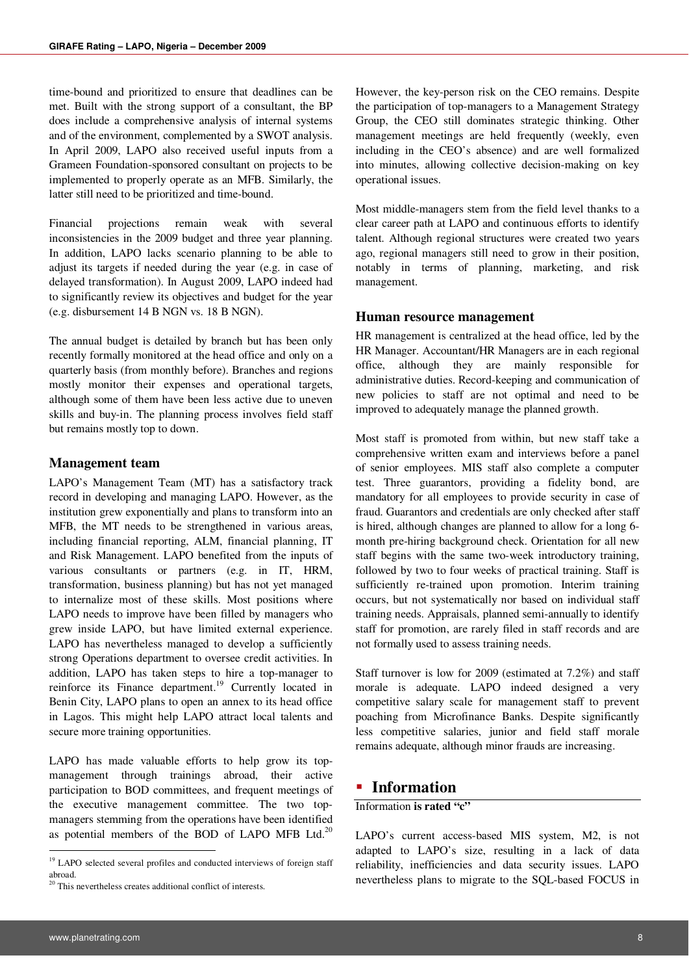time-bound and prioritized to ensure that deadlines can be met. Built with the strong support of a consultant, the BP does include a comprehensive analysis of internal systems and of the environment, complemented by a SWOT analysis. In April 2009, LAPO also received useful inputs from a Grameen Foundation-sponsored consultant on projects to be implemented to properly operate as an MFB. Similarly, the latter still need to be prioritized and time-bound.

Financial projections remain weak with several inconsistencies in the 2009 budget and three year planning. In addition, LAPO lacks scenario planning to be able to adjust its targets if needed during the year (e.g. in case of delayed transformation). In August 2009, LAPO indeed had to significantly review its objectives and budget for the year (e.g. disbursement 14 B NGN vs. 18 B NGN).

The annual budget is detailed by branch but has been only recently formally monitored at the head office and only on a quarterly basis (from monthly before). Branches and regions mostly monitor their expenses and operational targets, although some of them have been less active due to uneven skills and buy-in. The planning process involves field staff but remains mostly top to down.

#### **Management team**

LAPO's Management Team (MT) has a satisfactory track record in developing and managing LAPO. However, as the institution grew exponentially and plans to transform into an MFB, the MT needs to be strengthened in various areas, including financial reporting, ALM, financial planning, IT and Risk Management. LAPO benefited from the inputs of various consultants or partners (e.g. in IT, HRM, transformation, business planning) but has not yet managed to internalize most of these skills. Most positions where LAPO needs to improve have been filled by managers who grew inside LAPO, but have limited external experience. LAPO has nevertheless managed to develop a sufficiently strong Operations department to oversee credit activities. In addition, LAPO has taken steps to hire a top-manager to reinforce its Finance department.<sup>19</sup> Currently located in Benin City, LAPO plans to open an annex to its head office in Lagos. This might help LAPO attract local talents and secure more training opportunities.

LAPO has made valuable efforts to help grow its topmanagement through trainings abroad, their active participation to BOD committees, and frequent meetings of the executive management committee. The two topmanagers stemming from the operations have been identified as potential members of the BOD of LAPO MFB Ltd.<sup>20</sup>

However, the key-person risk on the CEO remains. Despite the participation of top-managers to a Management Strategy Group, the CEO still dominates strategic thinking. Other management meetings are held frequently (weekly, even including in the CEO's absence) and are well formalized into minutes, allowing collective decision-making on key operational issues.

Most middle-managers stem from the field level thanks to a clear career path at LAPO and continuous efforts to identify talent. Although regional structures were created two years ago, regional managers still need to grow in their position, notably in terms of planning, marketing, and risk management.

#### **Human resource management**

HR management is centralized at the head office, led by the HR Manager. Accountant/HR Managers are in each regional office, although they are mainly responsible for administrative duties. Record-keeping and communication of new policies to staff are not optimal and need to be improved to adequately manage the planned growth.

Most staff is promoted from within, but new staff take a comprehensive written exam and interviews before a panel of senior employees. MIS staff also complete a computer test. Three guarantors, providing a fidelity bond, are mandatory for all employees to provide security in case of fraud. Guarantors and credentials are only checked after staff is hired, although changes are planned to allow for a long 6 month pre-hiring background check. Orientation for all new staff begins with the same two-week introductory training, followed by two to four weeks of practical training. Staff is sufficiently re-trained upon promotion. Interim training occurs, but not systematically nor based on individual staff training needs. Appraisals, planned semi-annually to identify staff for promotion, are rarely filed in staff records and are not formally used to assess training needs.

Staff turnover is low for 2009 (estimated at 7.2%) and staff morale is adequate. LAPO indeed designed a very competitive salary scale for management staff to prevent poaching from Microfinance Banks. Despite significantly less competitive salaries, junior and field staff morale remains adequate, although minor frauds are increasing.

### **Information**

## Information **is rated "c"**

LAPO's current access-based MIS system, M2, is not adapted to LAPO's size, resulting in a lack of data reliability, inefficiencies and data security issues. LAPO nevertheless plans to migrate to the SQL-based FOCUS in

<sup>&</sup>lt;sup>19</sup> LAPO selected several profiles and conducted interviews of foreign staff abroad.

<sup>&</sup>lt;sup>20</sup> This nevertheless creates additional conflict of interests.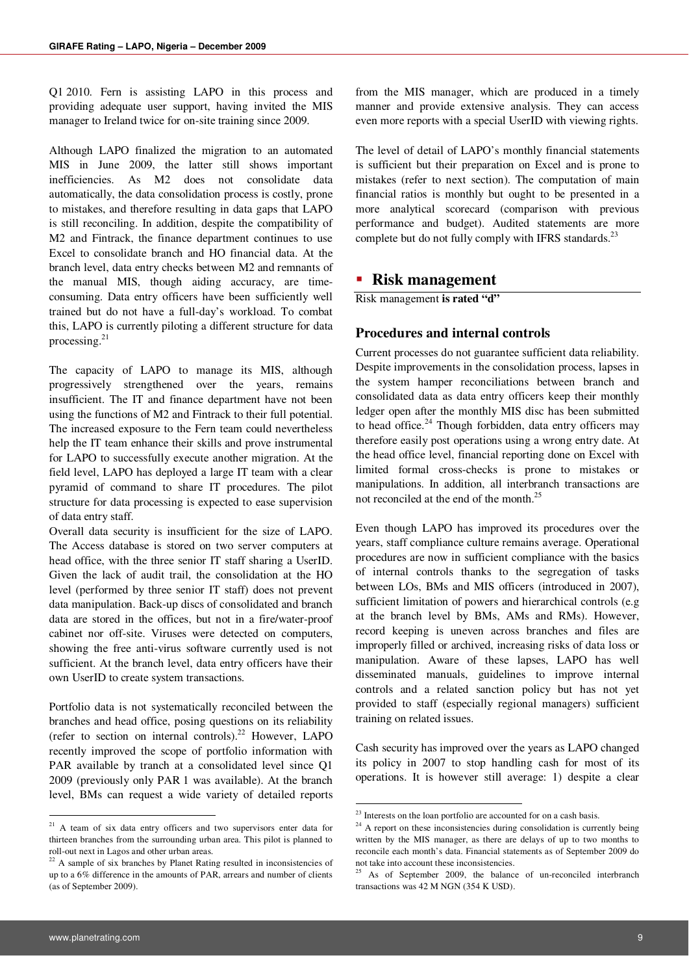Q1 2010. Fern is assisting LAPO in this process and providing adequate user support, having invited the MIS manager to Ireland twice for on-site training since 2009.

Although LAPO finalized the migration to an automated MIS in June 2009, the latter still shows important inefficiencies. As M2 does not consolidate data automatically, the data consolidation process is costly, prone to mistakes, and therefore resulting in data gaps that LAPO is still reconciling. In addition, despite the compatibility of M2 and Fintrack, the finance department continues to use Excel to consolidate branch and HO financial data. At the branch level, data entry checks between M2 and remnants of the manual MIS, though aiding accuracy, are timeconsuming. Data entry officers have been sufficiently well trained but do not have a full-day's workload. To combat this, LAPO is currently piloting a different structure for data processing. $21$ 

The capacity of LAPO to manage its MIS, although progressively strengthened over the years, remains insufficient. The IT and finance department have not been using the functions of M2 and Fintrack to their full potential. The increased exposure to the Fern team could nevertheless help the IT team enhance their skills and prove instrumental for LAPO to successfully execute another migration. At the field level, LAPO has deployed a large IT team with a clear pyramid of command to share IT procedures. The pilot structure for data processing is expected to ease supervision of data entry staff.

Overall data security is insufficient for the size of LAPO. The Access database is stored on two server computers at head office, with the three senior IT staff sharing a UserID. Given the lack of audit trail, the consolidation at the HO level (performed by three senior IT staff) does not prevent data manipulation. Back-up discs of consolidated and branch data are stored in the offices, but not in a fire/water-proof cabinet nor off-site. Viruses were detected on computers, showing the free anti-virus software currently used is not sufficient. At the branch level, data entry officers have their own UserID to create system transactions.

Portfolio data is not systematically reconciled between the branches and head office, posing questions on its reliability (refer to section on internal controls).<sup>22</sup> However, LAPO recently improved the scope of portfolio information with PAR available by tranch at a consolidated level since Q1 2009 (previously only PAR 1 was available). At the branch level, BMs can request a wide variety of detailed reports

from the MIS manager, which are produced in a timely manner and provide extensive analysis. They can access even more reports with a special UserID with viewing rights.

The level of detail of LAPO's monthly financial statements is sufficient but their preparation on Excel and is prone to mistakes (refer to next section). The computation of main financial ratios is monthly but ought to be presented in a more analytical scorecard (comparison with previous performance and budget). Audited statements are more complete but do not fully comply with IFRS standards. $^{23}$ 

## **Risk management**

Risk management **is rated "d"**

### **Procedures and internal controls**

Current processes do not guarantee sufficient data reliability. Despite improvements in the consolidation process, lapses in the system hamper reconciliations between branch and consolidated data as data entry officers keep their monthly ledger open after the monthly MIS disc has been submitted to head office. $24$  Though forbidden, data entry officers may therefore easily post operations using a wrong entry date. At the head office level, financial reporting done on Excel with limited formal cross-checks is prone to mistakes or manipulations. In addition, all interbranch transactions are not reconciled at the end of the month.<sup>25</sup>

Even though LAPO has improved its procedures over the years, staff compliance culture remains average. Operational procedures are now in sufficient compliance with the basics of internal controls thanks to the segregation of tasks between LOs, BMs and MIS officers (introduced in 2007), sufficient limitation of powers and hierarchical controls (e.g at the branch level by BMs, AMs and RMs). However, record keeping is uneven across branches and files are improperly filled or archived, increasing risks of data loss or manipulation. Aware of these lapses, LAPO has well disseminated manuals, guidelines to improve internal controls and a related sanction policy but has not yet provided to staff (especially regional managers) sufficient training on related issues.

Cash security has improved over the years as LAPO changed its policy in 2007 to stop handling cash for most of its operations. It is however still average: 1) despite a clear

**-**

<sup>&</sup>lt;sup>21</sup> A team of six data entry officers and two supervisors enter data for thirteen branches from the surrounding urban area. This pilot is planned to roll-out next in Lagos and other urban areas.

 $22$  A sample of six branches by Planet Rating resulted in inconsistencies of up to a 6% difference in the amounts of PAR, arrears and number of clients (as of September 2009).

<sup>&</sup>lt;sup>23</sup> Interests on the loan portfolio are accounted for on a cash basis.

<sup>&</sup>lt;sup>24</sup> A report on these inconsistencies during consolidation is currently being written by the MIS manager, as there are delays of up to two months to reconcile each month's data. Financial statements as of September 2009 do not take into account these inconsistencies.

<sup>&</sup>lt;sup>25</sup> As of September 2009, the balance of un-reconciled interbranch transactions was 42 M NGN (354 K USD).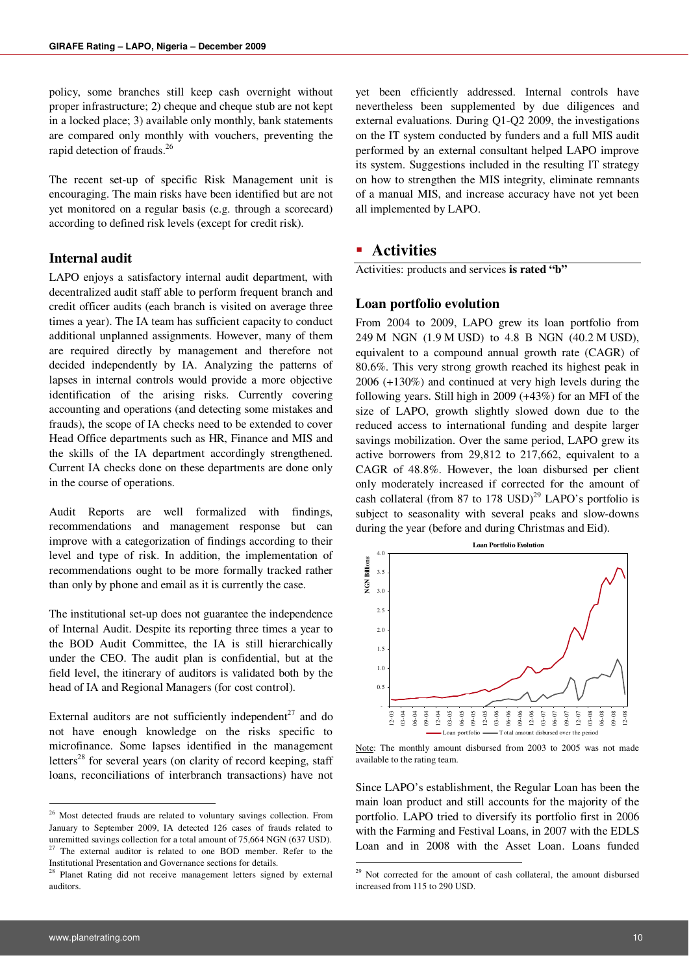policy, some branches still keep cash overnight without proper infrastructure; 2) cheque and cheque stub are not kept in a locked place; 3) available only monthly, bank statements are compared only monthly with vouchers, preventing the rapid detection of frauds.<sup>26</sup>

The recent set-up of specific Risk Management unit is encouraging. The main risks have been identified but are not yet monitored on a regular basis (e.g. through a scorecard) according to defined risk levels (except for credit risk).

#### **Internal audit**

LAPO enjoys a satisfactory internal audit department, with decentralized audit staff able to perform frequent branch and credit officer audits (each branch is visited on average three times a year). The IA team has sufficient capacity to conduct additional unplanned assignments. However, many of them are required directly by management and therefore not decided independently by IA. Analyzing the patterns of lapses in internal controls would provide a more objective identification of the arising risks. Currently covering accounting and operations (and detecting some mistakes and frauds), the scope of IA checks need to be extended to cover Head Office departments such as HR, Finance and MIS and the skills of the IA department accordingly strengthened. Current IA checks done on these departments are done only in the course of operations.

Audit Reports are well formalized with findings, recommendations and management response but can improve with a categorization of findings according to their level and type of risk. In addition, the implementation of recommendations ought to be more formally tracked rather than only by phone and email as it is currently the case.

The institutional set-up does not guarantee the independence of Internal Audit. Despite its reporting three times a year to the BOD Audit Committee, the IA is still hierarchically under the CEO. The audit plan is confidential, but at the field level, the itinerary of auditors is validated both by the head of IA and Regional Managers (for cost control).

External auditors are not sufficiently independent<sup>27</sup> and do not have enough knowledge on the risks specific to microfinance. Some lapses identified in the management letters<sup>28</sup> for several years (on clarity of record keeping, staff loans, reconciliations of interbranch transactions) have not

yet been efficiently addressed. Internal controls have nevertheless been supplemented by due diligences and external evaluations. During Q1-Q2 2009, the investigations on the IT system conducted by funders and a full MIS audit performed by an external consultant helped LAPO improve its system. Suggestions included in the resulting IT strategy on how to strengthen the MIS integrity, eliminate remnants of a manual MIS, and increase accuracy have not yet been all implemented by LAPO.

## **Activities**

Activities: products and services **is rated "b"** 

#### **Loan portfolio evolution**

From 2004 to 2009, LAPO grew its loan portfolio from 249 M NGN (1.9 M USD) to 4.8 B NGN (40.2 M USD), equivalent to a compound annual growth rate (CAGR) of 80.6%. This very strong growth reached its highest peak in 2006 (+130%) and continued at very high levels during the following years. Still high in 2009 (+43%) for an MFI of the size of LAPO, growth slightly slowed down due to the reduced access to international funding and despite larger savings mobilization. Over the same period, LAPO grew its active borrowers from 29,812 to 217,662, equivalent to a CAGR of 48.8%. However, the loan disbursed per client only moderately increased if corrected for the amount of cash collateral (from 87 to 178 USD)<sup>29</sup> LAPO's portfolio is subject to seasonality with several peaks and slow-downs during the year (before and during Christmas and Eid).



Note: The monthly amount disbursed from 2003 to 2005 was not made available to the rating team.

Since LAPO's establishment, the Regular Loan has been the main loan product and still accounts for the majority of the portfolio. LAPO tried to diversify its portfolio first in 2006 with the Farming and Festival Loans, in 2007 with the EDLS Loan and in 2008 with the Asset Loan. Loans funded

**.** 

<sup>&</sup>lt;sup>26</sup> Most detected frauds are related to voluntary savings collection. From January to September 2009, IA detected 126 cases of frauds related to unremitted savings collection for a total amount of 75,664 NGN (637 USD).<br> $^{27}$  The axternal auditor is related to see DOD. The external auditor is related to one BOD member. Refer to the Institutional Presentation and Governance sections for details.

<sup>&</sup>lt;sup>28</sup> Planet Rating did not receive management letters signed by external auditors.

<sup>&</sup>lt;sup>29</sup> Not corrected for the amount of cash collateral, the amount disbursed increased from 115 to 290 USD.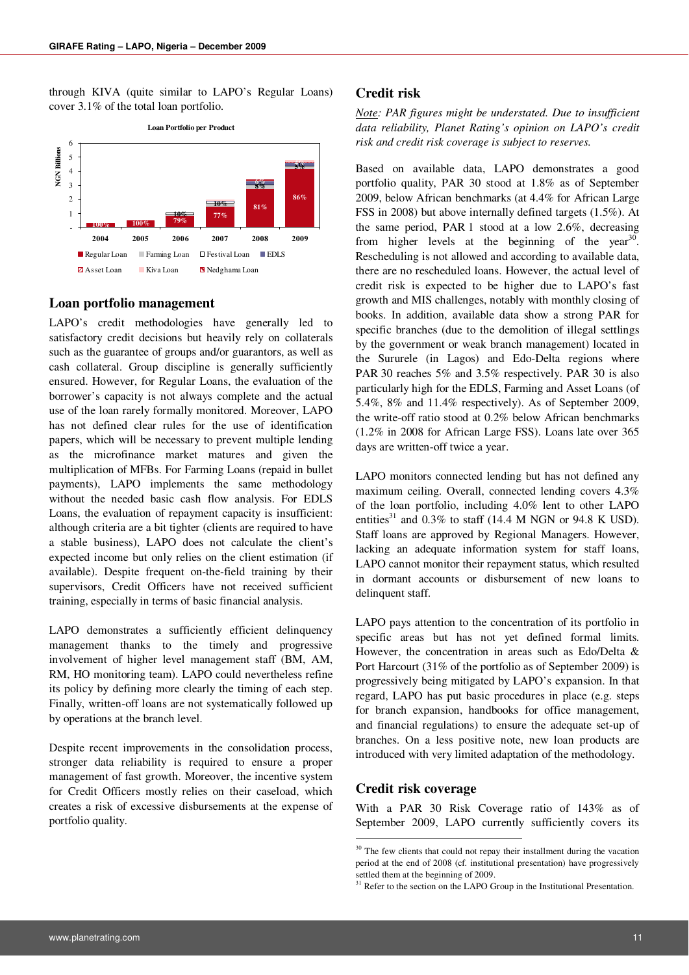through KIVA (quite similar to LAPO's Regular Loans) cover 3.1% of the total loan portfolio.



#### **Loan portfolio management**

LAPO's credit methodologies have generally led to satisfactory credit decisions but heavily rely on collaterals such as the guarantee of groups and/or guarantors, as well as cash collateral. Group discipline is generally sufficiently ensured. However, for Regular Loans, the evaluation of the borrower's capacity is not always complete and the actual use of the loan rarely formally monitored. Moreover, LAPO has not defined clear rules for the use of identification papers, which will be necessary to prevent multiple lending as the microfinance market matures and given the multiplication of MFBs. For Farming Loans (repaid in bullet payments), LAPO implements the same methodology without the needed basic cash flow analysis. For EDLS Loans, the evaluation of repayment capacity is insufficient: although criteria are a bit tighter (clients are required to have a stable business), LAPO does not calculate the client's expected income but only relies on the client estimation (if available). Despite frequent on-the-field training by their supervisors, Credit Officers have not received sufficient training, especially in terms of basic financial analysis.

LAPO demonstrates a sufficiently efficient delinquency management thanks to the timely and progressive involvement of higher level management staff (BM, AM, RM, HO monitoring team). LAPO could nevertheless refine its policy by defining more clearly the timing of each step. Finally, written-off loans are not systematically followed up by operations at the branch level.

Despite recent improvements in the consolidation process, stronger data reliability is required to ensure a proper management of fast growth. Moreover, the incentive system for Credit Officers mostly relies on their caseload, which creates a risk of excessive disbursements at the expense of portfolio quality.

#### **Credit risk**

*Note: PAR figures might be understated. Due to insufficient data reliability, Planet Rating's opinion on LAPO's credit risk and credit risk coverage is subject to reserves.* 

Based on available data, LAPO demonstrates a good portfolio quality, PAR 30 stood at 1.8% as of September 2009, below African benchmarks (at 4.4% for African Large FSS in 2008) but above internally defined targets (1.5%). At the same period, PAR 1 stood at a low 2.6%, decreasing from higher levels at the beginning of the year<sup>30</sup>. Rescheduling is not allowed and according to available data, there are no rescheduled loans. However, the actual level of credit risk is expected to be higher due to LAPO's fast growth and MIS challenges, notably with monthly closing of books. In addition, available data show a strong PAR for specific branches (due to the demolition of illegal settlings by the government or weak branch management) located in the Sururele (in Lagos) and Edo-Delta regions where PAR 30 reaches 5% and 3.5% respectively. PAR 30 is also particularly high for the EDLS, Farming and Asset Loans (of 5.4%, 8% and 11.4% respectively). As of September 2009, the write-off ratio stood at 0.2% below African benchmarks (1.2% in 2008 for African Large FSS). Loans late over 365 days are written-off twice a year.

LAPO monitors connected lending but has not defined any maximum ceiling. Overall, connected lending covers 4.3% of the loan portfolio, including 4.0% lent to other LAPO entities<sup>31</sup> and  $0.3\%$  to staff (14.4 M NGN or 94.8 K USD). Staff loans are approved by Regional Managers. However, lacking an adequate information system for staff loans, LAPO cannot monitor their repayment status, which resulted in dormant accounts or disbursement of new loans to delinquent staff.

LAPO pays attention to the concentration of its portfolio in specific areas but has not yet defined formal limits. However, the concentration in areas such as Edo/Delta & Port Harcourt (31% of the portfolio as of September 2009) is progressively being mitigated by LAPO's expansion. In that regard, LAPO has put basic procedures in place (e.g. steps for branch expansion, handbooks for office management, and financial regulations) to ensure the adequate set-up of branches. On a less positive note, new loan products are introduced with very limited adaptation of the methodology.

#### **Credit risk coverage**

**.** 

With a PAR 30 Risk Coverage ratio of 143% as of September 2009, LAPO currently sufficiently covers its

<sup>&</sup>lt;sup>30</sup> The few clients that could not repay their installment during the vacation period at the end of 2008 (cf. institutional presentation) have progressively settled them at the beginning of 2009.

<sup>&</sup>lt;sup>31</sup> Refer to the section on the LAPO Group in the Institutional Presentation.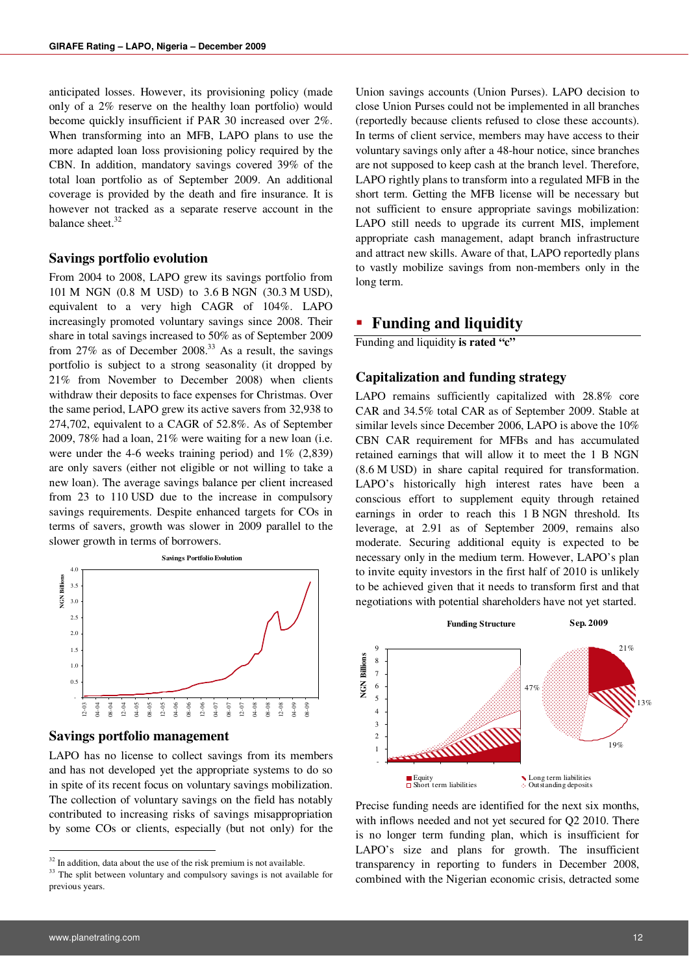anticipated losses. However, its provisioning policy (made only of a 2% reserve on the healthy loan portfolio) would become quickly insufficient if PAR 30 increased over 2%. When transforming into an MFB, LAPO plans to use the more adapted loan loss provisioning policy required by the CBN. In addition, mandatory savings covered 39% of the total loan portfolio as of September 2009. An additional coverage is provided by the death and fire insurance. It is however not tracked as a separate reserve account in the balance sheet.<sup>32</sup>

#### **Savings portfolio evolution**

From 2004 to 2008, LAPO grew its savings portfolio from 101 M NGN (0.8 M USD) to 3.6 B NGN (30.3 M USD), equivalent to a very high CAGR of 104%. LAPO increasingly promoted voluntary savings since 2008. Their share in total savings increased to 50% as of September 2009 from 27% as of December 2008.<sup>33</sup> As a result, the savings portfolio is subject to a strong seasonality (it dropped by 21% from November to December 2008) when clients withdraw their deposits to face expenses for Christmas. Over the same period, LAPO grew its active savers from 32,938 to 274,702, equivalent to a CAGR of 52.8%. As of September 2009, 78% had a loan, 21% were waiting for a new loan (i.e. were under the 4-6 weeks training period) and 1% (2,839) are only savers (either not eligible or not willing to take a new loan). The average savings balance per client increased from 23 to 110 USD due to the increase in compulsory savings requirements. Despite enhanced targets for COs in terms of savers, growth was slower in 2009 parallel to the slower growth in terms of borrowers.



#### **Savings portfolio management**

LAPO has no license to collect savings from its members and has not developed yet the appropriate systems to do so in spite of its recent focus on voluntary savings mobilization. The collection of voluntary savings on the field has notably contributed to increasing risks of savings misappropriation by some COs or clients, especially (but not only) for the

Union savings accounts (Union Purses). LAPO decision to close Union Purses could not be implemented in all branches (reportedly because clients refused to close these accounts). In terms of client service, members may have access to their voluntary savings only after a 48-hour notice, since branches are not supposed to keep cash at the branch level. Therefore, LAPO rightly plans to transform into a regulated MFB in the short term. Getting the MFB license will be necessary but not sufficient to ensure appropriate savings mobilization: LAPO still needs to upgrade its current MIS, implement appropriate cash management, adapt branch infrastructure and attract new skills. Aware of that, LAPO reportedly plans to vastly mobilize savings from non-members only in the long term.

### **Funding and liquidity**

Funding and liquidity **is rated "c"**

#### **Capitalization and funding strategy**

LAPO remains sufficiently capitalized with 28.8% core CAR and 34.5% total CAR as of September 2009. Stable at similar levels since December 2006, LAPO is above the 10% CBN CAR requirement for MFBs and has accumulated retained earnings that will allow it to meet the 1 B NGN (8.6 M USD) in share capital required for transformation. LAPO's historically high interest rates have been a conscious effort to supplement equity through retained earnings in order to reach this 1 B NGN threshold. Its leverage, at 2.91 as of September 2009, remains also moderate. Securing additional equity is expected to be necessary only in the medium term. However, LAPO's plan to invite equity investors in the first half of 2010 is unlikely to be achieved given that it needs to transform first and that negotiations with potential shareholders have not yet started.



Precise funding needs are identified for the next six months, with inflows needed and not yet secured for Q2 2010. There is no longer term funding plan, which is insufficient for LAPO's size and plans for growth. The insufficient transparency in reporting to funders in December 2008, combined with the Nigerian economic crisis, detracted some

 $32$  In addition, data about the use of the risk premium is not available.

<sup>&</sup>lt;sup>33</sup> The split between voluntary and compulsory savings is not available for previous years.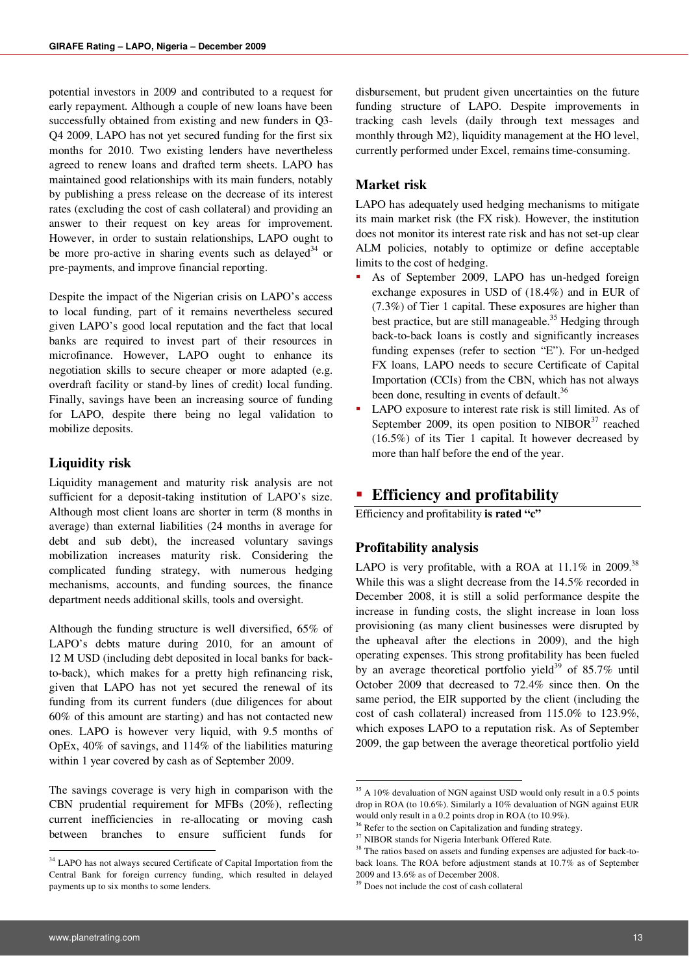potential investors in 2009 and contributed to a request for early repayment. Although a couple of new loans have been successfully obtained from existing and new funders in Q3- Q4 2009, LAPO has not yet secured funding for the first six months for 2010. Two existing lenders have nevertheless agreed to renew loans and drafted term sheets. LAPO has maintained good relationships with its main funders, notably by publishing a press release on the decrease of its interest rates (excluding the cost of cash collateral) and providing an answer to their request on key areas for improvement. However, in order to sustain relationships, LAPO ought to be more pro-active in sharing events such as delayed<sup>34</sup> or pre-payments, and improve financial reporting.

Despite the impact of the Nigerian crisis on LAPO's access to local funding, part of it remains nevertheless secured given LAPO's good local reputation and the fact that local banks are required to invest part of their resources in microfinance. However, LAPO ought to enhance its negotiation skills to secure cheaper or more adapted (e.g. overdraft facility or stand-by lines of credit) local funding. Finally, savings have been an increasing source of funding for LAPO, despite there being no legal validation to mobilize deposits.

### **Liquidity risk**

Liquidity management and maturity risk analysis are not sufficient for a deposit-taking institution of LAPO's size. Although most client loans are shorter in term (8 months in average) than external liabilities (24 months in average for debt and sub debt), the increased voluntary savings mobilization increases maturity risk. Considering the complicated funding strategy, with numerous hedging mechanisms, accounts, and funding sources, the finance department needs additional skills, tools and oversight.

Although the funding structure is well diversified, 65% of LAPO's debts mature during 2010, for an amount of 12 M USD (including debt deposited in local banks for backto-back), which makes for a pretty high refinancing risk, given that LAPO has not yet secured the renewal of its funding from its current funders (due diligences for about 60% of this amount are starting) and has not contacted new ones. LAPO is however very liquid, with 9.5 months of OpEx, 40% of savings, and 114% of the liabilities maturing within 1 year covered by cash as of September 2009.

The savings coverage is very high in comparison with the CBN prudential requirement for MFBs (20%), reflecting current inefficiencies in re-allocating or moving cash between branches to ensure sufficient funds for

disbursement, but prudent given uncertainties on the future funding structure of LAPO. Despite improvements in tracking cash levels (daily through text messages and monthly through M2), liquidity management at the HO level, currently performed under Excel, remains time-consuming.

#### **Market risk**

LAPO has adequately used hedging mechanisms to mitigate its main market risk (the FX risk). However, the institution does not monitor its interest rate risk and has not set-up clear ALM policies, notably to optimize or define acceptable limits to the cost of hedging.

- As of September 2009, LAPO has un-hedged foreign exchange exposures in USD of (18.4%) and in EUR of (7.3%) of Tier 1 capital. These exposures are higher than best practice, but are still manageable.<sup>35</sup> Hedging through back-to-back loans is costly and significantly increases funding expenses (refer to section "E"). For un-hedged FX loans, LAPO needs to secure Certificate of Capital Importation (CCIs) from the CBN, which has not always been done, resulting in events of default.<sup>36</sup>
- LAPO exposure to interest rate risk is still limited. As of September 2009, its open position to  $NIBOR<sup>37</sup>$  reached (16.5%) of its Tier 1 capital. It however decreased by more than half before the end of the year.

## **Efficiency and profitability**

Efficiency and profitability **is rated "c"**

#### **Profitability analysis**

LAPO is very profitable, with a ROA at  $11.1\%$  in 2009.<sup>38</sup> While this was a slight decrease from the 14.5% recorded in December 2008, it is still a solid performance despite the increase in funding costs, the slight increase in loan loss provisioning (as many client businesses were disrupted by the upheaval after the elections in 2009), and the high operating expenses. This strong profitability has been fueled by an average theoretical portfolio yield<sup>39</sup> of 85.7% until October 2009 that decreased to 72.4% since then. On the same period, the EIR supported by the client (including the cost of cash collateral) increased from 115.0% to 123.9%, which exposes LAPO to a reputation risk. As of September 2009, the gap between the average theoretical portfolio yield

**.** 

<sup>&</sup>lt;sup>34</sup> LAPO has not always secured Certificate of Capital Importation from the Central Bank for foreign currency funding, which resulted in delayed payments up to six months to some lenders.

<sup>35</sup> A 10% devaluation of NGN against USD would only result in a 0.5 points drop in ROA (to 10.6%). Similarly a 10% devaluation of NGN against EUR would only result in a 0.2 points drop in ROA (to 10.9%).

<sup>&</sup>lt;sup>36</sup> Refer to the section on Capitalization and funding strategy.

<sup>&</sup>lt;sup>37</sup> NIBOR stands for Nigeria Interbank Offered Rate.

<sup>&</sup>lt;sup>38</sup> The ratios based on assets and funding expenses are adjusted for back-toback loans. The ROA before adjustment stands at 10.7% as of September 2009 and 13.6% as of December 2008.

<sup>39</sup> Does not include the cost of cash collateral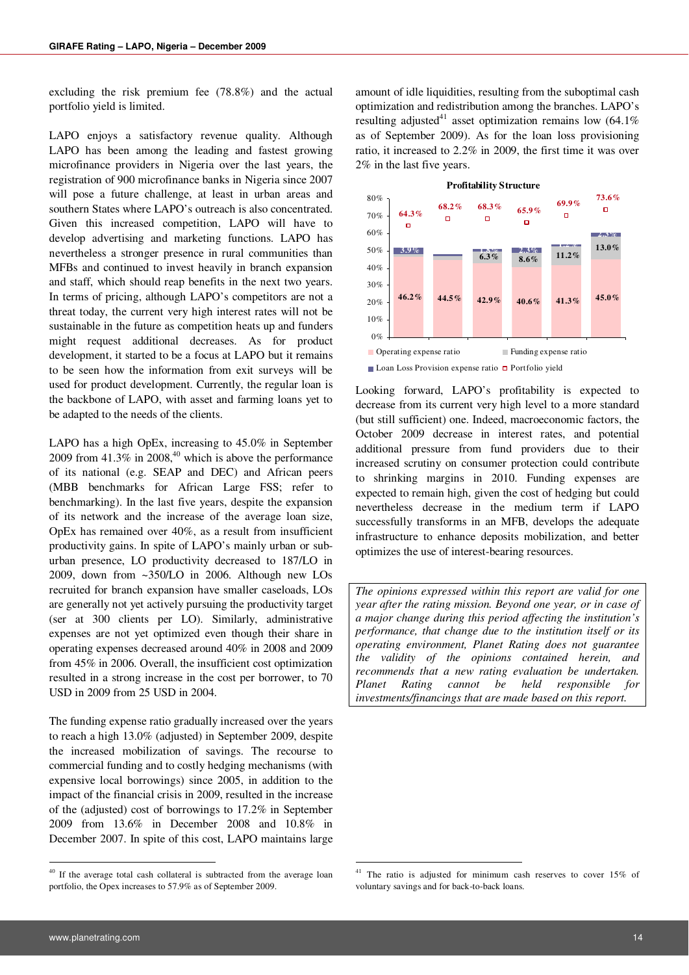excluding the risk premium fee (78.8%) and the actual portfolio yield is limited.

LAPO enjoys a satisfactory revenue quality. Although LAPO has been among the leading and fastest growing microfinance providers in Nigeria over the last years, the registration of 900 microfinance banks in Nigeria since 2007 will pose a future challenge, at least in urban areas and southern States where LAPO's outreach is also concentrated. Given this increased competition, LAPO will have to develop advertising and marketing functions. LAPO has nevertheless a stronger presence in rural communities than MFBs and continued to invest heavily in branch expansion and staff, which should reap benefits in the next two years. In terms of pricing, although LAPO's competitors are not a threat today, the current very high interest rates will not be sustainable in the future as competition heats up and funders might request additional decreases. As for product development, it started to be a focus at LAPO but it remains to be seen how the information from exit surveys will be used for product development. Currently, the regular loan is the backbone of LAPO, with asset and farming loans yet to be adapted to the needs of the clients.

LAPO has a high OpEx, increasing to 45.0% in September 2009 from  $41.3\%$  in 2008,<sup>40</sup> which is above the performance of its national (e.g. SEAP and DEC) and African peers (MBB benchmarks for African Large FSS; refer to benchmarking). In the last five years, despite the expansion of its network and the increase of the average loan size, OpEx has remained over 40%, as a result from insufficient productivity gains. In spite of LAPO's mainly urban or suburban presence, LO productivity decreased to 187/LO in 2009, down from ~350/LO in 2006. Although new LOs recruited for branch expansion have smaller caseloads, LOs are generally not yet actively pursuing the productivity target (ser at 300 clients per LO). Similarly, administrative expenses are not yet optimized even though their share in operating expenses decreased around 40% in 2008 and 2009 from 45% in 2006. Overall, the insufficient cost optimization resulted in a strong increase in the cost per borrower, to 70 USD in 2009 from 25 USD in 2004.

The funding expense ratio gradually increased over the years to reach a high 13.0% (adjusted) in September 2009, despite the increased mobilization of savings. The recourse to commercial funding and to costly hedging mechanisms (with expensive local borrowings) since 2005, in addition to the impact of the financial crisis in 2009, resulted in the increase of the (adjusted) cost of borrowings to 17.2% in September 2009 from 13.6% in December 2008 and 10.8% in December 2007. In spite of this cost, LAPO maintains large

amount of idle liquidities, resulting from the suboptimal cash optimization and redistribution among the branches. LAPO's resulting adjusted<sup>41</sup> asset optimization remains low  $(64.1\%$ as of September 2009). As for the loan loss provisioning ratio, it increased to 2.2% in 2009, the first time it was over 2% in the last five years.



Loan Loss Provision expense ratio  $\Box$  Portfolio yield

Looking forward, LAPO's profitability is expected to decrease from its current very high level to a more standard (but still sufficient) one. Indeed, macroeconomic factors, the October 2009 decrease in interest rates, and potential additional pressure from fund providers due to their increased scrutiny on consumer protection could contribute to shrinking margins in 2010. Funding expenses are expected to remain high, given the cost of hedging but could nevertheless decrease in the medium term if LAPO successfully transforms in an MFB, develops the adequate infrastructure to enhance deposits mobilization, and better optimizes the use of interest-bearing resources.

*The opinions expressed within this report are valid for one year after the rating mission. Beyond one year, or in case of a major change during this period affecting the institution's performance, that change due to the institution itself or its operating environment, Planet Rating does not guarantee the validity of the opinions contained herein, and recommends that a new rating evaluation be undertaken. Planet Rating cannot be held responsible for investments/financings that are made based on this report.* 

**.** 

<sup>&</sup>lt;sup>40</sup> If the average total cash collateral is subtracted from the average loan portfolio, the Opex increases to 57.9% as of September 2009.

<sup>&</sup>lt;sup>41</sup> The ratio is adjusted for minimum cash reserves to cover 15% of voluntary savings and for back-to-back loans.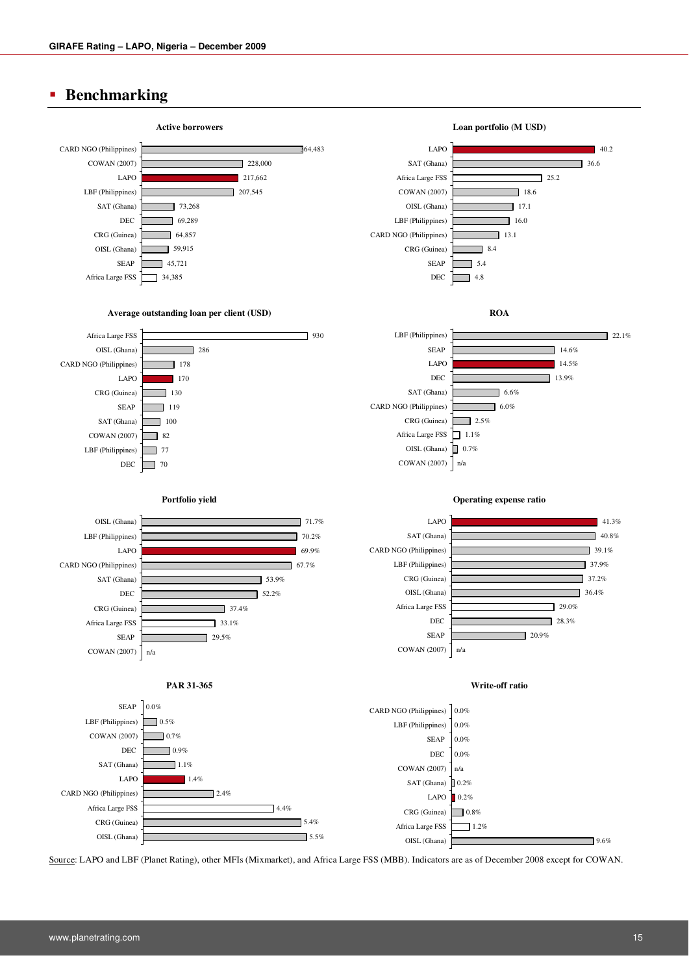## **Benchmarking**



Source: LAPO and LBF (Planet Rating), other MFIs (Mixmarket), and Africa Large FSS (MBB). Indicators are as of December 2008 except for COWAN.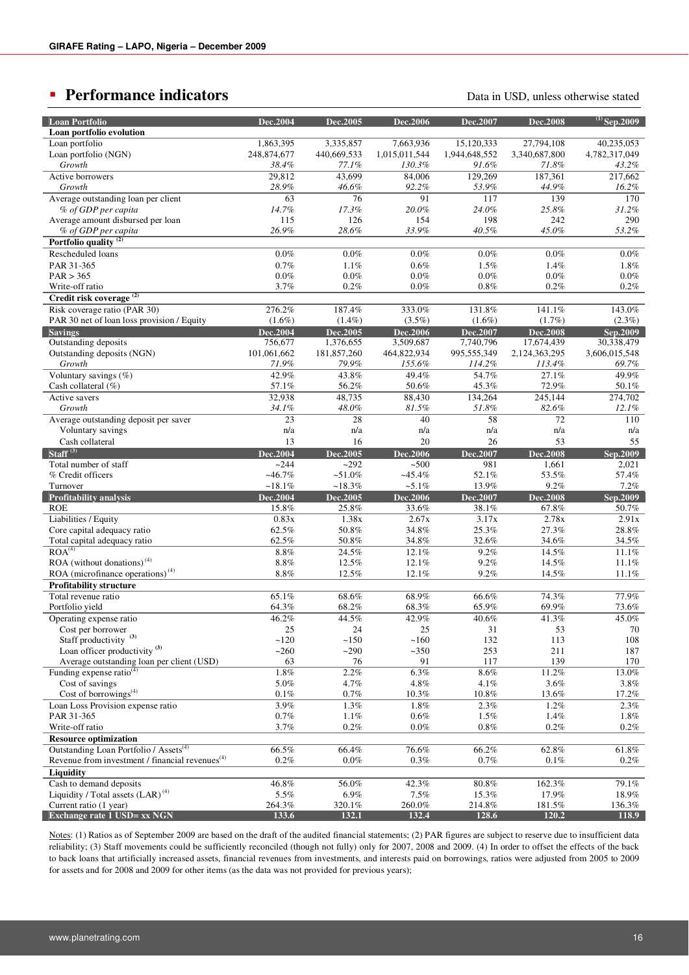## **Performance indicators Performance indicators Data in USD**, unless otherwise stated

| <b>Loan Portfolio</b>                                       | Dec.2004    | Dec.2005    | Dec.2006        | Dec.2007      | <b>Dec.2008</b> | $^{(1)}$ Sep.2009 |
|-------------------------------------------------------------|-------------|-------------|-----------------|---------------|-----------------|-------------------|
| Loan portfolio evolution                                    |             |             |                 |               |                 |                   |
| Loan portfolio                                              | 1,863,395   | 3,335,857   | 7,663,936       | 15,120,333    | 27,794,108      | 40,235,053        |
| Loan portfolio (NGN)                                        | 248,874,677 | 440,669,533 | 1,015,011,544   | 1,944,648,552 | 3,340,687,800   | 4,782,317,049     |
| Growth                                                      | 38.4%       | 77.1%       | 130.3%          | 91.6%         | 71.8%           | 43.2%             |
| Active borrowers                                            | 29,812      | 43,699      | 84,006          | 129,269       | 187,361         | 217,662           |
| Growth                                                      | 28.9%       | 46.6%       | 92.2%           | 53.9%         | 44.9%           | 16.2%             |
| Average outstanding loan per client                         | 63          | 76          | 91              | 117           | 139             | 170               |
| % of GDP per capita                                         | 14.7%       | 17.3%       | 20.0%           | 24.0%         | 25.8%           | 31.2%             |
| Average amount disbursed per loan                           | 115         | 126         | 154             | 198           | 242             | 290               |
| % of GDP per capita                                         | 26.9%       | 28.6%       | 33.9%           | 40.5%         | 45.0%           | 53.2%             |
| Portfolio quality <sup>(2)</sup>                            |             |             |                 |               |                 |                   |
| Rescheduled loans                                           | $0.0\%$     | 0.0%        | 0.0%            | $0.0\%$       | 0.0%            | 0.0%              |
| PAR 31-365                                                  | 0.7%        | 1.1%        | 0.6%            | 1.5%          | 1.4%            | 1.8%              |
| PAR > 365                                                   | $0.0\%$     | 0.0%        | 0.0%            | $0.0\%$       | 0.0%            | $0.0\%$           |
|                                                             | 3.7%        |             | 0.0%            |               |                 |                   |
| Write-off ratio                                             |             | 0.2%        |                 | 0.8%          | 0.2%            | $0.2\%$           |
| Credit risk coverage <sup>(2)</sup>                         |             |             |                 |               |                 |                   |
| Risk coverage ratio (PAR 30)                                | 276.2%      | 187.4%      | 333.0%          | 131.8%        | 141.1%          | 143.0%            |
| PAR 30 net of loan loss provision / Equity                  | $(1.6\%)$   | $(1.4\%)$   | $(3.5\%)$       | $(1.6\%)$     | $(1.7\%)$       | $(2.3\%)$         |
| <b>Savings</b>                                              | Dec.2004    | Dec.2005    | <b>Dec.2006</b> | Dec.2007      | <b>Dec.2008</b> | Sep.2009          |
| Outstanding deposits                                        | 756,677     | 1,376,655   | 3,509,687       | 7,740,796     | 17,674,439      | 30,338,479        |
| Outstanding deposits (NGN)                                  | 101,061,662 | 181,857,260 | 464,822,934     | 995,555,349   | 2,124,363,295   | 3,606,015,548     |
| Growth                                                      | 71.9%       | 79.9%       | 155.6%          | 114.2%        | 113.4%          | 69.7%             |
| Voluntary savings (%)                                       | 42.9%       | 43.8%       | 49.4%           | 54.7%         | 27.1%           | 49.9%             |
| Cash collateral $(\%)$                                      | 57.1%       | 56.2%       | 50.6%           | 45.3%         | 72.9%           | 50.1%             |
| Active savers                                               | 32,938      | 48,735      | 88,430          | 134,264       | 245,144         | 274,702           |
| Growth                                                      | 34.1%       | 48.0%       | 81.5%           | 51.8%         | 82.6%           | 12.1%             |
| Average outstanding deposit per saver                       | 23          | 28          | 40              | 58            | 72              | 110               |
| Voluntary savings                                           | n/a         | n/a         | n/a             | n/a           | n/a             | n/a               |
| Cash collateral                                             | 13          | 16          | 20              | 26            | 53              | 55                |
| Staff $(3)$                                                 | Dec.2004    | Dec.2005    | <b>Dec.2006</b> | Dec.2007      | <b>Dec.2008</b> | Sep.2009          |
| Total number of staff                                       | ~244        | $-292$      | ~100            | 981           | 1,661           | 2,021             |
| % Credit officers                                           | $-46.7%$    | $-51.0\%$   | $-45.4%$        | 52.1%         | 53.5%           | 57.4%             |
| Turnover                                                    | $-18.1%$    | $~18.3\%$   | $-5.1%$         | 13.9%         | 9.2%            | 7.2%              |
| <b>Profitability analysis</b>                               | Dec.2004    | Dec.2005    | <b>Dec.2006</b> | Dec.2007      | <b>Dec.2008</b> | Sep.2009          |
| <b>ROE</b>                                                  | 15.8%       | 25.8%       | 33.6%           | 38.1%         | 67.8%           | 50.7%             |
| Liabilities / Equity                                        | 0.83x       | 1.38x       | 2.67x           | 3.17x         | 2.78x           | 2.91x             |
| Core capital adequacy ratio                                 | 62.5%       | 50.8%       | 34.8%           | 25.3%         | 27.3%           | 28.8%             |
| Total capital adequacy ratio                                | 62.5%       | 50.8%       | 34.8%           | 32.6%         | 34.6%           | 34.5%             |
| ROA <sup>(4)</sup>                                          | $8.8\%$     | $24.5\%$    | 12.1%           | 9.2%          | 14.5%           | 11.1%             |
| ROA (without donations) $(4)$                               | $8.8\%$     | 12.5%       | 12.1%           | 9.2%          | 14.5%           | 11.1%             |
| ROA (microfinance operations) <sup>(4)</sup>                | $8.8\%$     | 12.5%       | 12.1%           | 9.2%          | 14.5%           | 11.1%             |
| <b>Profitability structure</b>                              |             |             |                 |               |                 |                   |
| Total revenue ratio                                         | 65.1%       | 68.6%       | 68.9%           | 66.6%         | 74.3%           | 77.9%             |
| Portfolio yield                                             | 64.3%       | 68.2%       | 68.3%           | 65.9%         | 69.9%           | 73.6%             |
|                                                             |             |             | 42.9%           |               | 41.3%           |                   |
| Operating expense ratio                                     | 46.2%       | 44.5%       |                 | 40.6%         |                 | 45.0%             |
| Cost per borrower<br>Staff productivity <sup>(3)</sup>      | 25          | 24<br>~150  | 25              | 31            | 53              | 70                |
|                                                             | ~120        |             | ~160            | 132           | 113             | 108               |
| Loan officer productivity $(3)$                             | ~260        | ~290        | $-350$          | 253           | 211             | 187               |
| Average outstanding loan per client (USD)                   | 63          | 76          | 91              | 117           | 139             | 170               |
| Funding expense ratio $(4)$                                 | $1.8\%$     | 2.2%        | 6.3%            | $8.6\%$       | 11.2%           | 13.0%             |
| Cost of savings                                             | 5.0%        | 4.7%        | 4.8%            | 4.1%          | 3.6%            | 3.8%              |
| Cost of borrowings <sup>(4)</sup>                           | $0.1\%$     | 0.7%        | 10.3%           | $10.8\%$      | 13.6%           | 17.2%             |
| Loan Loss Provision expense ratio                           | 3.9%        | 1.3%        | $1.8\%$         | 2.3%          | 1.2%            | $2.3\%$           |
| PAR 31-365                                                  | 0.7%        | 1.1%        | 0.6%            | 1.5%          | 1.4%            | $1.8\%$           |
| Write-off ratio                                             | 3.7%        | 0.2%        | $0.0\%$         | $0.8\%$       | 0.2%            | $0.2\%$           |
| <b>Resource optimization</b>                                |             |             |                 |               |                 |                   |
| Outstanding Loan Portfolio / Assets <sup>(4)</sup>          | 66.5%       | 66.4%       | 76.6%           | 66.2%         | 62.8%           | 61.8%             |
| Revenue from investment / financial revenues <sup>(4)</sup> | 0.2%        | $0.0\%$     | 0.3%            | 0.7%          | 0.1%            | $0.2\%$           |
| Liquidity                                                   |             |             |                 |               |                 |                   |
| Cash to demand deposits                                     | 46.8%       | 56.0%       | 42.3%           | 80.8%         | 162.3%          | 79.1%             |
| Liquidity / Total assets (LAR) <sup>(4)</sup>               | 5.5%        | 6.9%        | 7.5%            | 15.3%         | 17.9%           | 18.9%             |
| Current ratio (1 year)                                      | 264.3%      | 320.1%      | 260.0%          | 214.8%        | 181.5%          | 136.3%            |
| <b>Exchange rate 1 USD= xx NGN</b>                          | 133.6       | 132.1       | 132.4           | 128.6         | 120.2           | 118.9             |

Notes: (1) Ratios as of September 2009 are based on the draft of the audited financial statements; (2) PAR figures are subject to reserve due to insufficient data reliability; (3) Staff movements could be sufficiently reconciled (though not fully) only for 2007, 2008 and 2009. (4) In order to offset the effects of the back to back loans that artificially increased assets, financial revenues from investments, and interests paid on borrowings, ratios were adjusted from 2005 to 2009 for assets and for 2008 and 2009 for other items (as the data was not provided for previous years);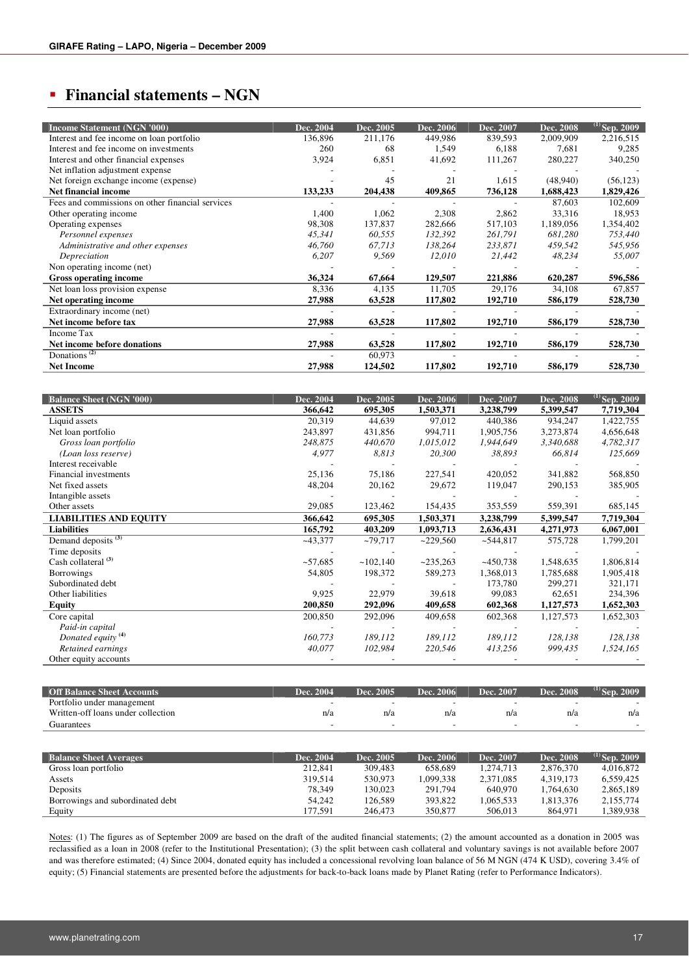## **Financial statements – NGN**

| <b>Income Statement (NGN '000)</b>               | Dec. 2004 | Dec. 2005 | Dec. 2006 | Dec. 2007 | Dec. 2008 | $^{(1)}$ Sep. 2009 |
|--------------------------------------------------|-----------|-----------|-----------|-----------|-----------|--------------------|
| Interest and fee income on loan portfolio        | 136,896   | 211,176   | 449,986   | 839,593   | 2,009,909 | 2,216,515          |
| Interest and fee income on investments           | 260       | 68        | 1,549     | 6,188     | 7,681     | 9,285              |
| Interest and other financial expenses            | 3,924     | 6,851     | 41,692    | 111,267   | 280,227   | 340,250            |
| Net inflation adjustment expense                 |           |           |           |           |           |                    |
| Net foreign exchange income (expense)            |           | 45        | 21        | 1,615     | (48,940)  | (56, 123)          |
| <b>Net financial income</b>                      | 133,233   | 204,438   | 409,865   | 736,128   | 1,688,423 | 1,829,426          |
| Fees and commissions on other financial services |           |           |           |           | 87,603    | 102,609            |
| Other operating income                           | 1,400     | 1,062     | 2,308     | 2,862     | 33,316    | 18,953             |
| Operating expenses                               | 98,308    | 137,837   | 282,666   | 517,103   | 1,189,056 | 1,354,402          |
| Personnel expenses                               | 45,341    | 60,555    | 132,392   | 261,791   | 681,280   | 753,440            |
| Administrative and other expenses                | 46,760    | 67,713    | 138,264   | 233,871   | 459,542   | 545,956            |
| Depreciation                                     | 6,207     | 9,569     | 12,010    | 21,442    | 48,234    | 55,007             |
| Non operating income (net)                       |           |           |           |           |           |                    |
| <b>Gross operating income</b>                    | 36,324    | 67,664    | 129,507   | 221,886   | 620,287   | 596,586            |
| Net loan loss provision expense                  | 8,336     | 4,135     | 11.705    | 29.176    | 34,108    | 67,857             |
| Net operating income                             | 27,988    | 63,528    | 117,802   | 192,710   | 586,179   | 528,730            |
| Extraordinary income (net)                       |           |           |           |           |           |                    |
| Net income before tax                            | 27,988    | 63,528    | 117,802   | 192,710   | 586,179   | 528,730            |
| Income Tax                                       |           |           |           |           |           |                    |
| Net income before donations                      | 27,988    | 63,528    | 117,802   | 192,710   | 586,179   | 528,730            |
| Donations <sup><math>(2)</math></sup>            |           | 60,973    |           |           |           |                    |
| <b>Net Income</b>                                | 27,988    | 124,502   | 117,802   | 192,710   | 586,179   | 528,730            |
|                                                  |           |           |           |           |           |                    |

| <b>Balance Sheet (NGN '000)</b> | Dec. 2004 | Dec. 2005 | Dec. 2006  | Dec. 2007  | Dec. 2008 | $^{(1)}$ Sep. 2009 . |
|---------------------------------|-----------|-----------|------------|------------|-----------|----------------------|
| <b>ASSETS</b>                   | 366,642   | 695,305   | 1,503,371  | 3,238,799  | 5,399,547 | 7,719,304            |
| Liquid assets                   | 20,319    | 44,639    | 97,012     | 440,386    | 934,247   | 1,422,755            |
| Net loan portfolio              | 243,897   | 431,856   | 994,711    | 1,905,756  | 3,273,874 | 4,656,648            |
| Gross loan portfolio            | 248,875   | 440,670   | 1,015,012  | 1,944,649  | 3,340,688 | 4,782,317            |
| (Loan loss reserve)             | 4,977     | 8,813     | 20,300     | 38,893     | 66,814    | 125,669              |
| Interest receivable             |           |           |            |            |           |                      |
| Financial investments           | 25,136    | 75,186    | 227,541    | 420,052    | 341,882   | 568,850              |
| Net fixed assets                | 48,204    | 20,162    | 29,672     | 119,047    | 290,153   | 385,905              |
| Intangible assets               |           |           |            |            |           |                      |
| Other assets                    | 29,085    | 123,462   | 154,435    | 353,559    | 559,391   | 685,145              |
| <b>LIABILITIES AND EQUITY</b>   | 366,642   | 695,305   | 1,503,371  | 3,238,799  | 5,399,547 | 7,719,304            |
| <b>Liabilities</b>              | 165,792   | 403,209   | 1,093,713  | 2,636,431  | 4,271,973 | 6,067,001            |
| Demand deposits <sup>(3)</sup>  | $-43,377$ | $-79,717$ | ~229,560   | ~544,817   | 575,728   | 1,799,201            |
| Time deposits                   |           |           |            |            |           |                      |
| Cash collateral <sup>(3)</sup>  | ~57,685   | ~102,140  | $-235,263$ | $-450,738$ | 1,548,635 | 1,806,814            |
| <b>Borrowings</b>               | 54,805    | 198,372   | 589,273    | 1,368,013  | 1,785,688 | 1,905,418            |
| Subordinated debt               |           |           |            | 173,780    | 299,271   | 321,171              |
| Other liabilities               | 9,925     | 22,979    | 39,618     | 99,083     | 62,651    | 234,396              |
| <b>Equity</b>                   | 200,850   | 292,096   | 409,658    | 602,368    | 1,127,573 | 1,652,303            |
| Core capital                    | 200,850   | 292,096   | 409,658    | 602,368    | 1,127,573 | 1,652,303            |
| Paid-in capital                 |           |           |            |            |           |                      |
| Donated equity <sup>(4)</sup>   | 160,773   | 189,112   | 189,112    | 189,112    | 128,138   | 128,138              |
| Retained earnings               | 40,077    | 102,984   | 220,546    | 413,256    | 999,435   | 1,524,165            |
| Other equity accounts           |           |           |            |            |           |                      |

| <b>Off Balance Sheet Accounts</b>  | Dec. 2004 | Dec. 2005 | Dec. 2006 | Dec. 2007 | Dec. 2008 | $^{(1)}$ Sen<br>2009 |
|------------------------------------|-----------|-----------|-----------|-----------|-----------|----------------------|
| Portfolio under management         |           |           |           |           | -         |                      |
| Written-off loans under collection | n/a       | n/a       | n/a       | n/a       | n/a       | n/a                  |
| Guarantees                         |           |           |           |           |           |                      |

| <b>Balance Sheet Averages</b>    | Dec. 2004 | Dec. 2005 | Dec. 2006 | Dec. 2007 | Dec. 2008 | $^{(1)}$ Sep. 2009 |
|----------------------------------|-----------|-----------|-----------|-----------|-----------|--------------------|
| Gross loan portfolio             | 212.841   | 309.483   | 658,689   | 1.274.713 | 2,876,370 | 4.016.872          |
| Assets                           | 319.514   | 530.973   | 1,099,338 | 2.371.085 | 4.319.173 | 6.559.425          |
| Deposits                         | 78.349    | 130.023   | 291,794   | 640,970   | 1.764.630 | 2,865,189          |
| Borrowings and subordinated debt | 54.242    | 126.589   | 393.822   | 1.065.533 | 1.813.376 | 2,155,774          |
| Equity                           | 177.591   | 246,473   | 350,877   | 506,013   | 864,971   | 1,389,938          |

Notes: (1) The figures as of September 2009 are based on the draft of the audited financial statements; (2) the amount accounted as a donation in 2005 was reclassified as a loan in 2008 (refer to the Institutional Presentation); (3) the split between cash collateral and voluntary savings is not available before 2007 and was therefore estimated; (4) Since 2004, donated equity has included a concessional revolving loan balance of 56 M NGN (474 K USD), covering 3.4% of equity; (5) Financial statements are presented before the adjustments for back-to-back loans made by Planet Rating (refer to Performance Indicators).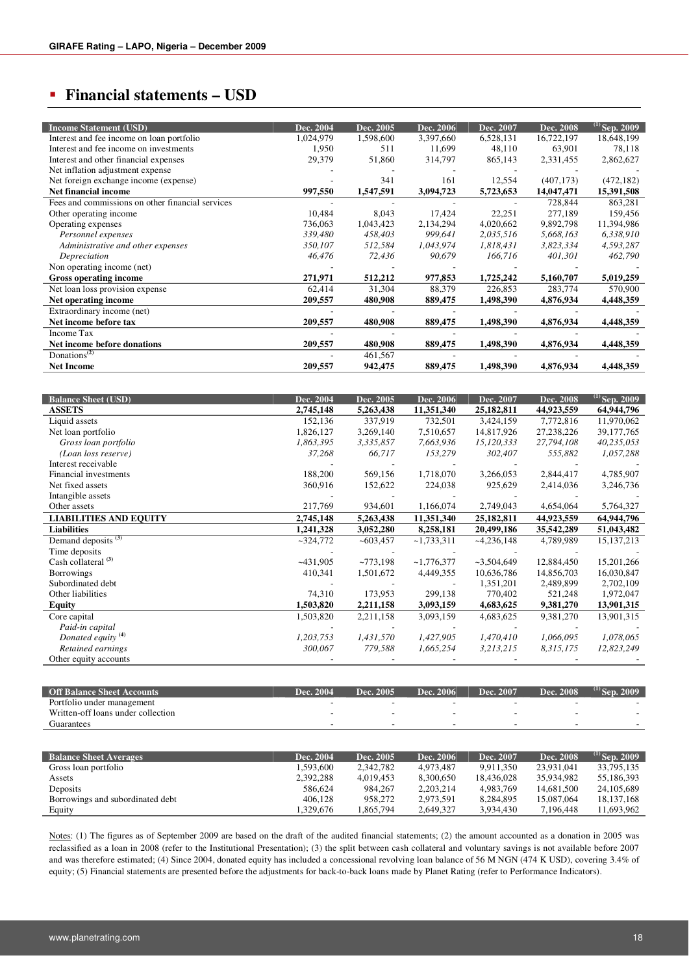## **Financial statements – USD**

| <b>Income Statement (USD)</b>                    | Dec. 2004 | Dec. 2005 | Dec. 2006 | Dec. 2007 | Dec. 2008  | $^{(1)}$ Sep. 2009 |
|--------------------------------------------------|-----------|-----------|-----------|-----------|------------|--------------------|
| Interest and fee income on loan portfolio        | 1,024,979 | 1,598,600 | 3,397,660 | 6,528,131 | 16,722,197 | 18,648,199         |
| Interest and fee income on investments           | 1,950     | 511       | 11,699    | 48,110    | 63.901     | 78,118             |
| Interest and other financial expenses            | 29,379    | 51,860    | 314,797   | 865,143   | 2,331,455  | 2,862,627          |
| Net inflation adjustment expense                 |           |           |           |           |            |                    |
| Net foreign exchange income (expense)            |           | 341       | 161       | 12,554    | (407, 173) | (472, 182)         |
| <b>Net financial income</b>                      | 997,550   | 1,547,591 | 3,094,723 | 5,723,653 | 14,047,471 | 15,391,508         |
| Fees and commissions on other financial services |           |           |           |           | 728,844    | 863,281            |
| Other operating income                           | 10,484    | 8,043     | 17,424    | 22,251    | 277,189    | 159,456            |
| Operating expenses                               | 736,063   | 1,043,423 | 2,134,294 | 4,020,662 | 9,892,798  | 11,394,986         |
| Personnel expenses                               | 339,480   | 458,403   | 999,641   | 2,035,516 | 5,668,163  | 6,338,910          |
| Administrative and other expenses                | 350,107   | 512,584   | 1,043,974 | 1,818,431 | 3,823,334  | 4,593,287          |
| Depreciation                                     | 46,476    | 72,436    | 90,679    | 166,716   | 401,301    | 462,790            |
| Non operating income (net)                       |           |           |           |           |            |                    |
| <b>Gross operating income</b>                    | 271,971   | 512,212   | 977,853   | 1,725,242 | 5,160,707  | 5,019,259          |
| Net loan loss provision expense                  | 62,414    | 31,304    | 88,379    | 226,853   | 283,774    | 570,900            |
| Net operating income                             | 209,557   | 480,908   | 889,475   | 1,498,390 | 4,876,934  | 4,448,359          |
| Extraordinary income (net)                       |           |           |           |           |            |                    |
| Net income before tax                            | 209,557   | 480,908   | 889,475   | 1,498,390 | 4,876,934  | 4,448,359          |
| Income Tax                                       |           |           |           |           |            |                    |
| Net income before donations                      | 209,557   | 480,908   | 889,475   | 1,498,390 | 4,876,934  | 4,448,359          |
| Donations <sup><math>(2)</math></sup>            |           | 461,567   |           |           |            |                    |
| <b>Net Income</b>                                | 209,557   | 942,475   | 889,475   | 1.498.390 | 4,876,934  | 4,448,359          |

| <b>Balance Sheet (USD)</b>     | Dec. 2004  | Dec. 2005  | Dec. 2006    | Dec. 2007    | Dec. 2008    | $^{(1)}$ Sep. 2009 |
|--------------------------------|------------|------------|--------------|--------------|--------------|--------------------|
| <b>ASSETS</b>                  | 2,745,148  | 5,263,438  | 11,351,340   | 25,182,811   | 44,923,559   | 64,944,796         |
| Liquid assets                  | 152,136    | 337,919    | 732,501      | 3,424,159    | 7,772,816    | 11,970,062         |
| Net loan portfolio             | 1,826,127  | 3,269,140  | 7,510,657    | 14,817,926   | 27, 238, 226 | 39,177,765         |
| Gross loan portfolio           | 1,863,395  | 3,335,857  | 7,663,936    | 15,120,333   | 27,794,108   | 40,235,053         |
| (Loan loss reserve)            | 37,268     | 66,717     | 153,279      | 302,407      | 555,882      | 1,057,288          |
| Interest receivable            |            |            |              |              |              |                    |
| Financial investments          | 188,200    | 569,156    | 1,718,070    | 3,266,053    | 2,844,417    | 4,785,907          |
| Net fixed assets               | 360,916    | 152,622    | 224,038      | 925,629      | 2,414,036    | 3,246,736          |
| Intangible assets              |            |            |              |              |              |                    |
| Other assets                   | 217,769    | 934,601    | 1,166,074    | 2,749,043    | 4,654,064    | 5,764,327          |
| <b>LIABILITIES AND EQUITY</b>  | 2,745,148  | 5,263,438  | 11,351,340   | 25,182,811   | 44,923,559   | 64,944,796         |
| <b>Liabilities</b>             | 1,241,328  | 3,052,280  | 8,258,181    | 20,499,186   | 35,542,289   | 51,043,482         |
| Demand deposits <sup>(3)</sup> | $-324,772$ | ~1003,457  | $-1,733,311$ | $-4,236,148$ | 4,789,989    | 15, 137, 213       |
| Time deposits                  |            |            |              |              |              |                    |
| Cash collateral <sup>(3)</sup> | $-431,905$ | $-773,198$ | $-1,776,377$ | $-3,504,649$ | 12,884,450   | 15,201,266         |
| Borrowings                     | 410,341    | 1,501,672  | 4,449,355    | 10,636,786   | 14,856,703   | 16,030,847         |
| Subordinated debt              |            |            |              | 1,351,201    | 2,489,899    | 2,702,109          |
| Other liabilities              | 74,310     | 173,953    | 299,138      | 770,402      | 521,248      | 1,972,047          |
| Equity                         | 1,503,820  | 2,211,158  | 3,093,159    | 4,683,625    | 9,381,270    | 13,901,315         |
| Core capital                   | 1,503,820  | 2,211,158  | 3,093,159    | 4,683,625    | 9,381,270    | 13,901,315         |
| Paid-in capital                |            |            |              |              |              |                    |
| Donated equity <sup>(4)</sup>  | 1,203,753  | 1,431,570  | 1,427,905    | 1,470,410    | 1,066,095    | 1,078,065          |
| Retained earnings              | 300,067    | 779,588    | 1,665,254    | 3,213,215    | 8,315,175    | 12,823,249         |
| Other equity accounts          |            |            |              |              |              |                    |

| <b>Off Balance Sheet Accounts</b>  | Dec. 2004 | Dec. 2005 | Dec. 2006 | Dec. 2007 | Dec. 2008 | $^{(1)}$ Sep.<br>2009 |
|------------------------------------|-----------|-----------|-----------|-----------|-----------|-----------------------|
| Portfolio under management         |           |           |           |           |           |                       |
| Written-off loans under collection |           |           |           |           |           |                       |
| Guarantees                         |           | -         |           |           | -         |                       |

| <b>Balance Sheet Averages</b>    | Dec. 2004 | Dec. 2005 | Dec. 2006 | Dec. 2007  | Dec. 2008  | $^{(1)}$ Sep. 2009 |
|----------------------------------|-----------|-----------|-----------|------------|------------|--------------------|
| Gross loan portfolio             | 1.593.600 | 2.342.782 | 4.973.487 | 9.911.350  | 23.931.041 | 33,795,135         |
| Assets                           | 2,392,288 | 4.019.453 | 8.300.650 | 18.436.028 | 35.934.982 | 55,186,393         |
| Deposits                         | 586.624   | 984,267   | 2,203,214 | 4.983.769  | 14,681,500 | 24, 105, 689       |
| Borrowings and subordinated debt | 406.128   | 958,272   | 2,973,591 | 8.284.895  | 15.087.064 | 18, 137, 168       |
| Equity                           | 1.329.676 | .865.794  | 2.649.327 | 3.934.430  | 7.196.448  | 11.693.962         |

Notes: (1) The figures as of September 2009 are based on the draft of the audited financial statements; (2) the amount accounted as a donation in 2005 was reclassified as a loan in 2008 (refer to the Institutional Presentation); (3) the split between cash collateral and voluntary savings is not available before 2007 and was therefore estimated; (4) Since 2004, donated equity has included a concessional revolving loan balance of 56 M NGN (474 K USD), covering 3.4% of equity; (5) Financial statements are presented before the adjustments for back-to-back loans made by Planet Rating (refer to Performance Indicators).